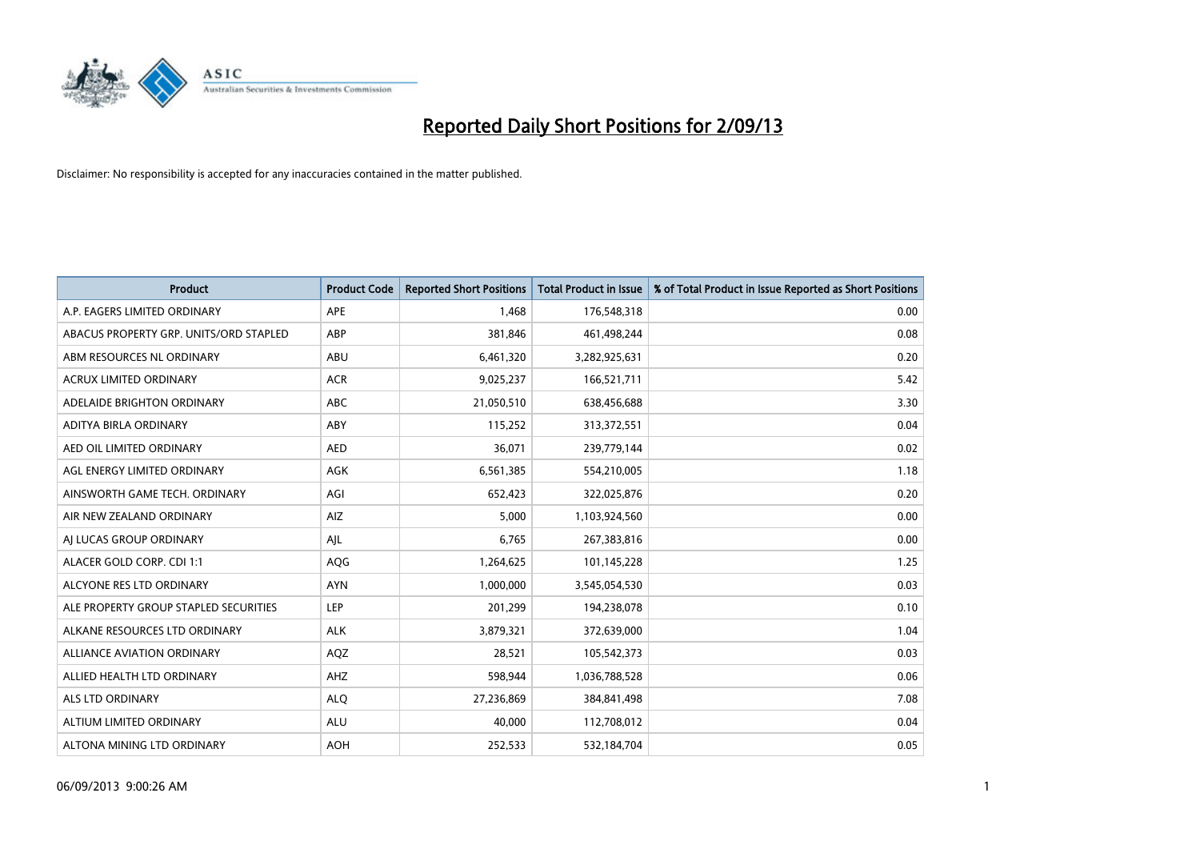

| <b>Product</b>                         | <b>Product Code</b> | <b>Reported Short Positions</b> | <b>Total Product in Issue</b> | % of Total Product in Issue Reported as Short Positions |
|----------------------------------------|---------------------|---------------------------------|-------------------------------|---------------------------------------------------------|
| A.P. EAGERS LIMITED ORDINARY           | APE                 | 1,468                           | 176,548,318                   | 0.00                                                    |
| ABACUS PROPERTY GRP. UNITS/ORD STAPLED | ABP                 | 381,846                         | 461,498,244                   | 0.08                                                    |
| ABM RESOURCES NL ORDINARY              | ABU                 | 6,461,320                       | 3,282,925,631                 | 0.20                                                    |
| ACRUX LIMITED ORDINARY                 | <b>ACR</b>          | 9,025,237                       | 166,521,711                   | 5.42                                                    |
| ADELAIDE BRIGHTON ORDINARY             | <b>ABC</b>          | 21,050,510                      | 638,456,688                   | 3.30                                                    |
| ADITYA BIRLA ORDINARY                  | ABY                 | 115,252                         | 313,372,551                   | 0.04                                                    |
| AED OIL LIMITED ORDINARY               | <b>AED</b>          | 36,071                          | 239,779,144                   | 0.02                                                    |
| AGL ENERGY LIMITED ORDINARY            | AGK                 | 6,561,385                       | 554,210,005                   | 1.18                                                    |
| AINSWORTH GAME TECH. ORDINARY          | AGI                 | 652,423                         | 322,025,876                   | 0.20                                                    |
| AIR NEW ZEALAND ORDINARY               | <b>AIZ</b>          | 5,000                           | 1,103,924,560                 | 0.00                                                    |
| AI LUCAS GROUP ORDINARY                | AJL                 | 6,765                           | 267,383,816                   | 0.00                                                    |
| ALACER GOLD CORP. CDI 1:1              | AQG                 | 1,264,625                       | 101,145,228                   | 1.25                                                    |
| ALCYONE RES LTD ORDINARY               | <b>AYN</b>          | 1,000,000                       | 3,545,054,530                 | 0.03                                                    |
| ALE PROPERTY GROUP STAPLED SECURITIES  | LEP                 | 201,299                         | 194,238,078                   | 0.10                                                    |
| ALKANE RESOURCES LTD ORDINARY          | <b>ALK</b>          | 3,879,321                       | 372,639,000                   | 1.04                                                    |
| ALLIANCE AVIATION ORDINARY             | AQZ                 | 28,521                          | 105,542,373                   | 0.03                                                    |
| ALLIED HEALTH LTD ORDINARY             | AHZ                 | 598,944                         | 1,036,788,528                 | 0.06                                                    |
| <b>ALS LTD ORDINARY</b>                | <b>ALQ</b>          | 27,236,869                      | 384,841,498                   | 7.08                                                    |
| ALTIUM LIMITED ORDINARY                | <b>ALU</b>          | 40,000                          | 112,708,012                   | 0.04                                                    |
| ALTONA MINING LTD ORDINARY             | <b>AOH</b>          | 252,533                         | 532,184,704                   | 0.05                                                    |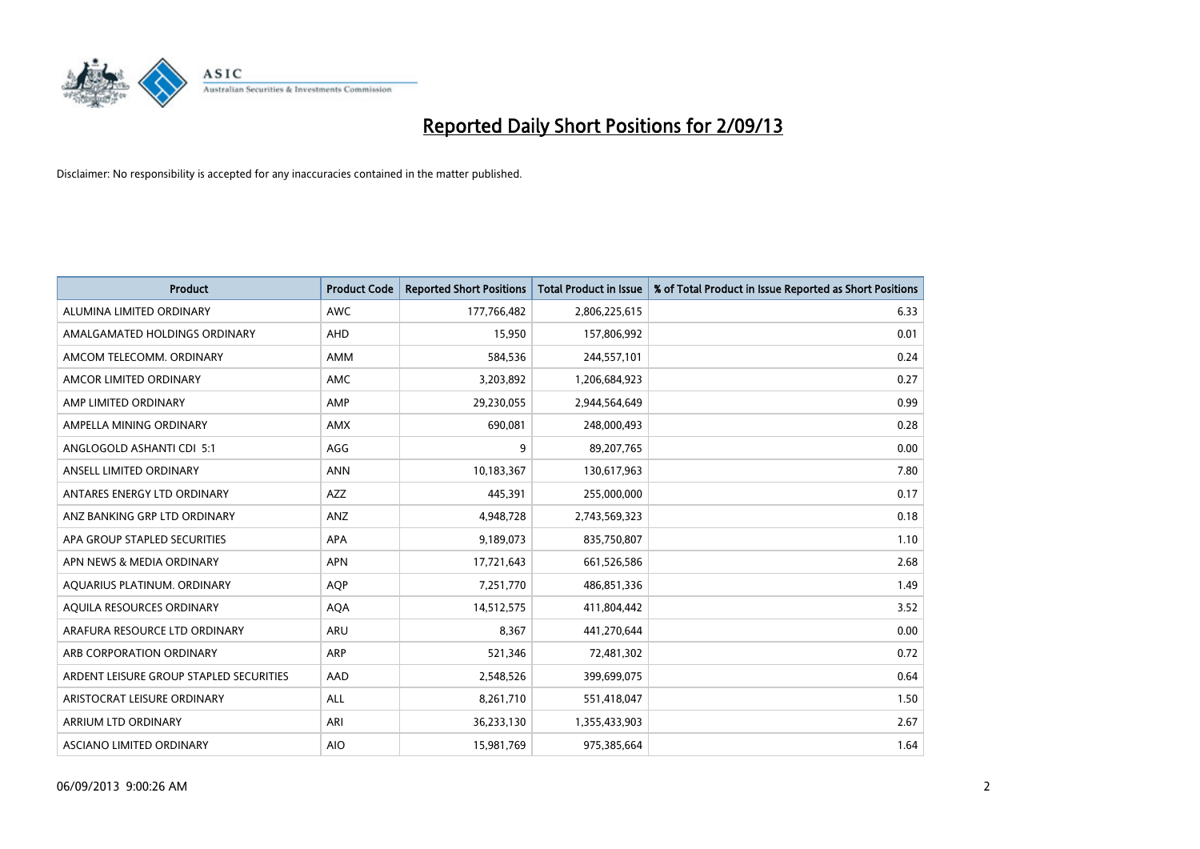

| <b>Product</b>                          | <b>Product Code</b> | <b>Reported Short Positions</b> | <b>Total Product in Issue</b> | % of Total Product in Issue Reported as Short Positions |
|-----------------------------------------|---------------------|---------------------------------|-------------------------------|---------------------------------------------------------|
| ALUMINA LIMITED ORDINARY                | <b>AWC</b>          | 177,766,482                     | 2,806,225,615                 | 6.33                                                    |
| AMALGAMATED HOLDINGS ORDINARY           | AHD                 | 15,950                          | 157,806,992                   | 0.01                                                    |
| AMCOM TELECOMM. ORDINARY                | AMM                 | 584,536                         | 244,557,101                   | 0.24                                                    |
| AMCOR LIMITED ORDINARY                  | AMC                 | 3,203,892                       | 1,206,684,923                 | 0.27                                                    |
| AMP LIMITED ORDINARY                    | AMP                 | 29,230,055                      | 2,944,564,649                 | 0.99                                                    |
| AMPELLA MINING ORDINARY                 | <b>AMX</b>          | 690,081                         | 248,000,493                   | 0.28                                                    |
| ANGLOGOLD ASHANTI CDI 5:1               | AGG                 | 9                               | 89,207,765                    | 0.00                                                    |
| ANSELL LIMITED ORDINARY                 | <b>ANN</b>          | 10,183,367                      | 130,617,963                   | 7.80                                                    |
| ANTARES ENERGY LTD ORDINARY             | AZZ                 | 445,391                         | 255,000,000                   | 0.17                                                    |
| ANZ BANKING GRP LTD ORDINARY            | ANZ                 | 4,948,728                       | 2,743,569,323                 | 0.18                                                    |
| APA GROUP STAPLED SECURITIES            | APA                 | 9,189,073                       | 835,750,807                   | 1.10                                                    |
| APN NEWS & MEDIA ORDINARY               | <b>APN</b>          | 17,721,643                      | 661,526,586                   | 2.68                                                    |
| AQUARIUS PLATINUM. ORDINARY             | <b>AQP</b>          | 7,251,770                       | 486,851,336                   | 1.49                                                    |
| AQUILA RESOURCES ORDINARY               | <b>AQA</b>          | 14,512,575                      | 411,804,442                   | 3.52                                                    |
| ARAFURA RESOURCE LTD ORDINARY           | ARU                 | 8,367                           | 441,270,644                   | 0.00                                                    |
| ARB CORPORATION ORDINARY                | ARP                 | 521,346                         | 72,481,302                    | 0.72                                                    |
| ARDENT LEISURE GROUP STAPLED SECURITIES | AAD                 | 2,548,526                       | 399,699,075                   | 0.64                                                    |
| ARISTOCRAT LEISURE ORDINARY             | ALL                 | 8,261,710                       | 551,418,047                   | 1.50                                                    |
| ARRIUM LTD ORDINARY                     | ARI                 | 36,233,130                      | 1,355,433,903                 | 2.67                                                    |
| ASCIANO LIMITED ORDINARY                | <b>AIO</b>          | 15,981,769                      | 975,385,664                   | 1.64                                                    |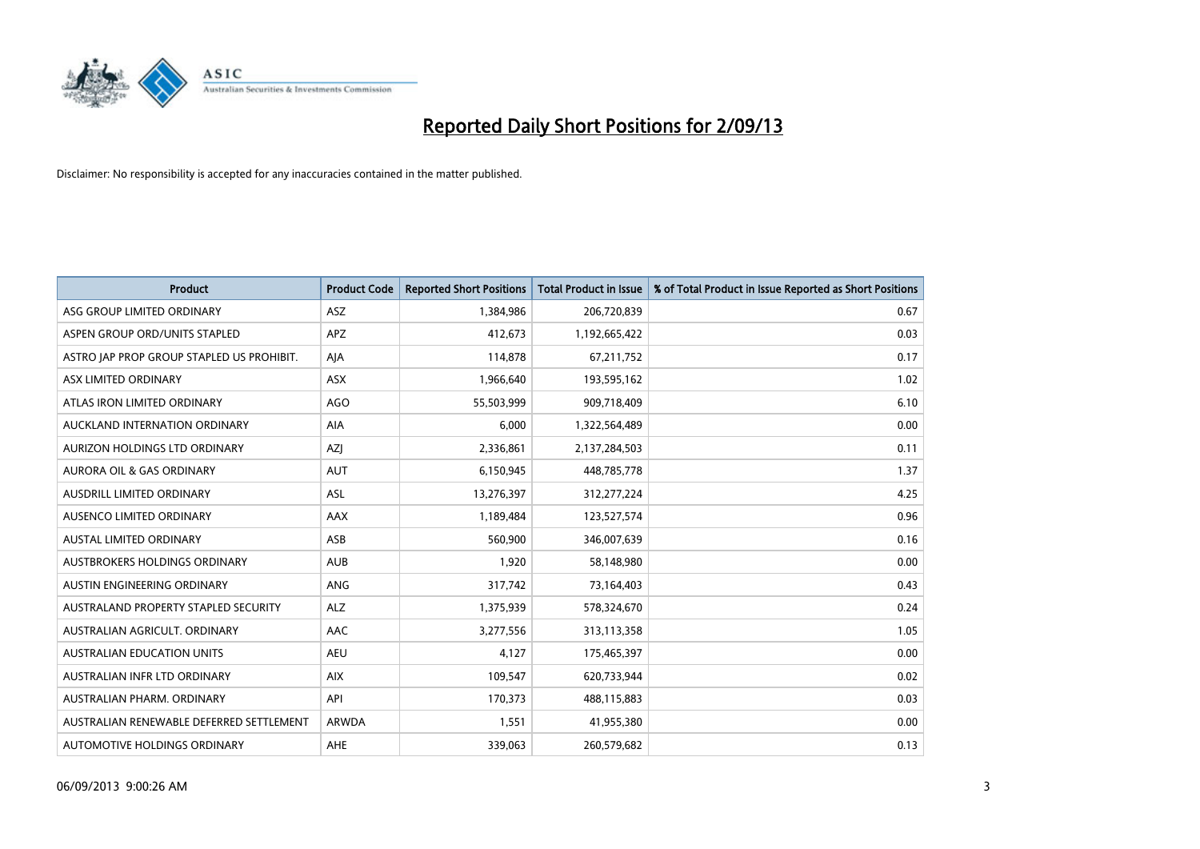

| <b>Product</b>                            | <b>Product Code</b> | <b>Reported Short Positions</b> | <b>Total Product in Issue</b> | % of Total Product in Issue Reported as Short Positions |
|-------------------------------------------|---------------------|---------------------------------|-------------------------------|---------------------------------------------------------|
| ASG GROUP LIMITED ORDINARY                | <b>ASZ</b>          | 1,384,986                       | 206,720,839                   | 0.67                                                    |
| ASPEN GROUP ORD/UNITS STAPLED             | <b>APZ</b>          | 412,673                         | 1,192,665,422                 | 0.03                                                    |
| ASTRO JAP PROP GROUP STAPLED US PROHIBIT. | AJA                 | 114,878                         | 67,211,752                    | 0.17                                                    |
| ASX LIMITED ORDINARY                      | ASX                 | 1,966,640                       | 193,595,162                   | 1.02                                                    |
| ATLAS IRON LIMITED ORDINARY               | <b>AGO</b>          | 55,503,999                      | 909,718,409                   | 6.10                                                    |
| AUCKLAND INTERNATION ORDINARY             | <b>AIA</b>          | 6,000                           | 1,322,564,489                 | 0.00                                                    |
| AURIZON HOLDINGS LTD ORDINARY             | AZJ                 | 2,336,861                       | 2,137,284,503                 | 0.11                                                    |
| AURORA OIL & GAS ORDINARY                 | AUT                 | 6,150,945                       | 448,785,778                   | 1.37                                                    |
| <b>AUSDRILL LIMITED ORDINARY</b>          | ASL                 | 13,276,397                      | 312,277,224                   | 4.25                                                    |
| AUSENCO LIMITED ORDINARY                  | AAX                 | 1,189,484                       | 123,527,574                   | 0.96                                                    |
| AUSTAL LIMITED ORDINARY                   | ASB                 | 560,900                         | 346,007,639                   | 0.16                                                    |
| <b>AUSTBROKERS HOLDINGS ORDINARY</b>      | <b>AUB</b>          | 1,920                           | 58,148,980                    | 0.00                                                    |
| AUSTIN ENGINEERING ORDINARY               | ANG                 | 317,742                         | 73,164,403                    | 0.43                                                    |
| AUSTRALAND PROPERTY STAPLED SECURITY      | <b>ALZ</b>          | 1,375,939                       | 578,324,670                   | 0.24                                                    |
| AUSTRALIAN AGRICULT, ORDINARY             | <b>AAC</b>          | 3,277,556                       | 313,113,358                   | 1.05                                                    |
| AUSTRALIAN EDUCATION UNITS                | <b>AEU</b>          | 4,127                           | 175,465,397                   | 0.00                                                    |
| AUSTRALIAN INFR LTD ORDINARY              | <b>AIX</b>          | 109,547                         | 620,733,944                   | 0.02                                                    |
| AUSTRALIAN PHARM, ORDINARY                | API                 | 170,373                         | 488,115,883                   | 0.03                                                    |
| AUSTRALIAN RENEWABLE DEFERRED SETTLEMENT  | <b>ARWDA</b>        | 1,551                           | 41,955,380                    | 0.00                                                    |
| AUTOMOTIVE HOLDINGS ORDINARY              | AHE                 | 339,063                         | 260,579,682                   | 0.13                                                    |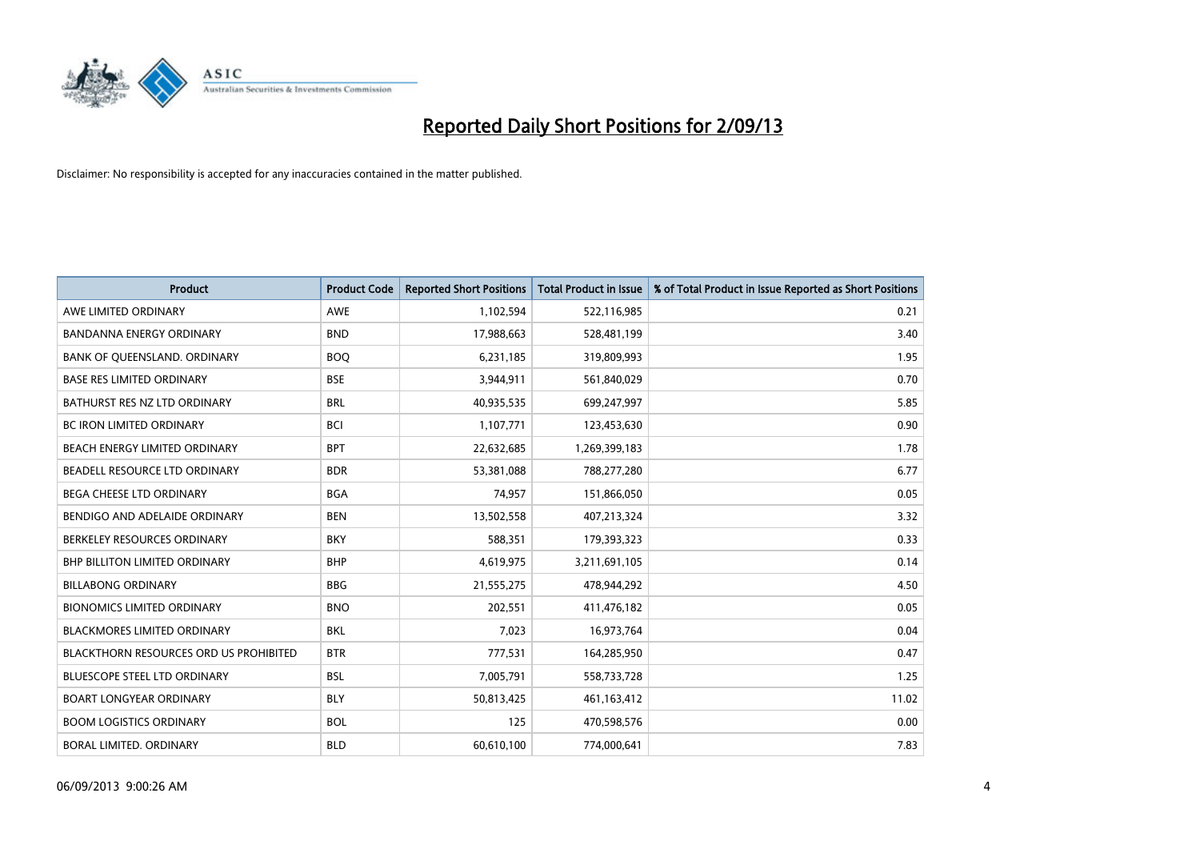

| <b>Product</b>                                | <b>Product Code</b> | <b>Reported Short Positions</b> | <b>Total Product in Issue</b> | % of Total Product in Issue Reported as Short Positions |
|-----------------------------------------------|---------------------|---------------------------------|-------------------------------|---------------------------------------------------------|
| AWE LIMITED ORDINARY                          | AWE                 | 1,102,594                       | 522,116,985                   | 0.21                                                    |
| BANDANNA ENERGY ORDINARY                      | <b>BND</b>          | 17,988,663                      | 528,481,199                   | 3.40                                                    |
| BANK OF QUEENSLAND. ORDINARY                  | <b>BOQ</b>          | 6,231,185                       | 319,809,993                   | 1.95                                                    |
| <b>BASE RES LIMITED ORDINARY</b>              | <b>BSE</b>          | 3,944,911                       | 561,840,029                   | 0.70                                                    |
| BATHURST RES NZ LTD ORDINARY                  | <b>BRL</b>          | 40,935,535                      | 699,247,997                   | 5.85                                                    |
| <b>BC IRON LIMITED ORDINARY</b>               | <b>BCI</b>          | 1,107,771                       | 123,453,630                   | 0.90                                                    |
| BEACH ENERGY LIMITED ORDINARY                 | <b>BPT</b>          | 22,632,685                      | 1,269,399,183                 | 1.78                                                    |
| BEADELL RESOURCE LTD ORDINARY                 | <b>BDR</b>          | 53,381,088                      | 788,277,280                   | 6.77                                                    |
| BEGA CHEESE LTD ORDINARY                      | <b>BGA</b>          | 74,957                          | 151,866,050                   | 0.05                                                    |
| BENDIGO AND ADELAIDE ORDINARY                 | <b>BEN</b>          | 13,502,558                      | 407,213,324                   | 3.32                                                    |
| BERKELEY RESOURCES ORDINARY                   | <b>BKY</b>          | 588,351                         | 179,393,323                   | 0.33                                                    |
| <b>BHP BILLITON LIMITED ORDINARY</b>          | <b>BHP</b>          | 4,619,975                       | 3,211,691,105                 | 0.14                                                    |
| <b>BILLABONG ORDINARY</b>                     | <b>BBG</b>          | 21,555,275                      | 478,944,292                   | 4.50                                                    |
| <b>BIONOMICS LIMITED ORDINARY</b>             | <b>BNO</b>          | 202,551                         | 411,476,182                   | 0.05                                                    |
| <b>BLACKMORES LIMITED ORDINARY</b>            | <b>BKL</b>          | 7,023                           | 16,973,764                    | 0.04                                                    |
| <b>BLACKTHORN RESOURCES ORD US PROHIBITED</b> | <b>BTR</b>          | 777,531                         | 164,285,950                   | 0.47                                                    |
| <b>BLUESCOPE STEEL LTD ORDINARY</b>           | <b>BSL</b>          | 7,005,791                       | 558,733,728                   | 1.25                                                    |
| <b>BOART LONGYEAR ORDINARY</b>                | <b>BLY</b>          | 50,813,425                      | 461,163,412                   | 11.02                                                   |
| <b>BOOM LOGISTICS ORDINARY</b>                | <b>BOL</b>          | 125                             | 470,598,576                   | 0.00                                                    |
| BORAL LIMITED. ORDINARY                       | <b>BLD</b>          | 60,610,100                      | 774,000,641                   | 7.83                                                    |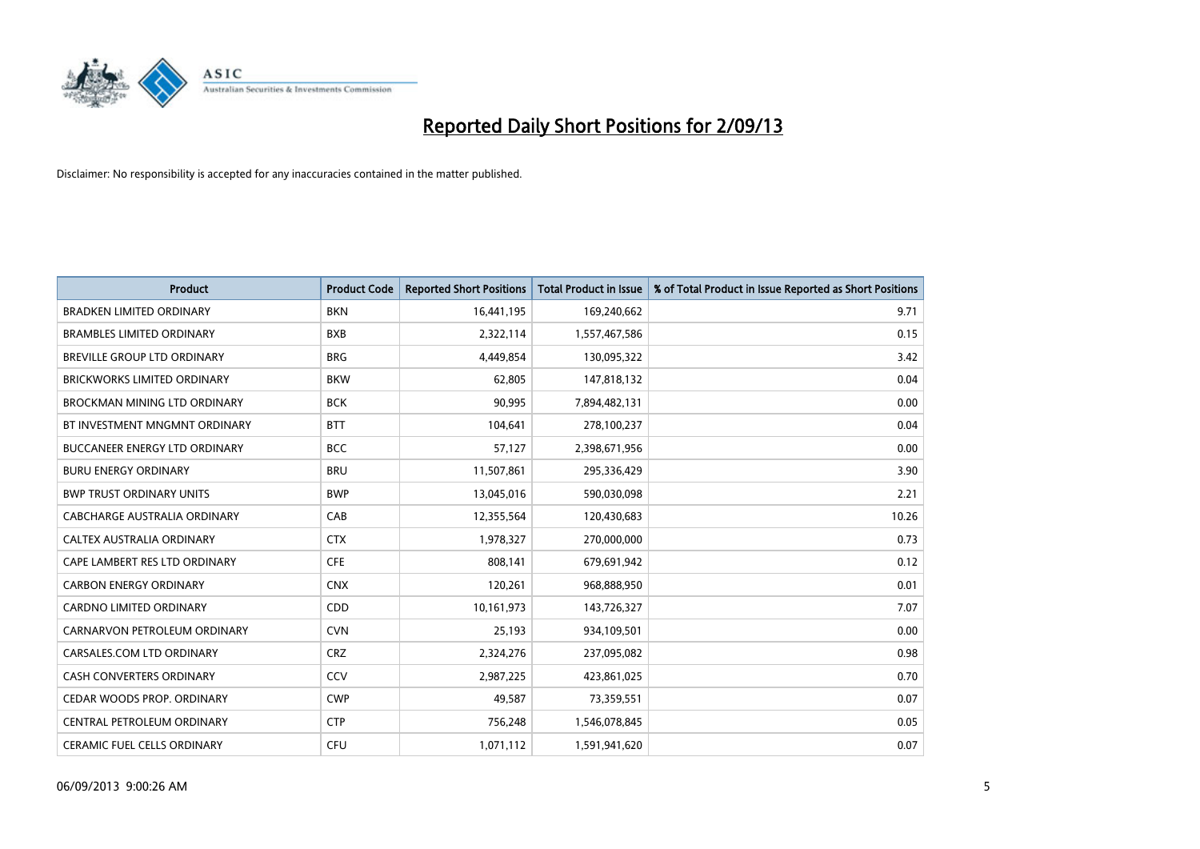

| <b>Product</b>                       | <b>Product Code</b> | <b>Reported Short Positions</b> | <b>Total Product in Issue</b> | % of Total Product in Issue Reported as Short Positions |
|--------------------------------------|---------------------|---------------------------------|-------------------------------|---------------------------------------------------------|
| BRADKEN LIMITED ORDINARY             | <b>BKN</b>          | 16,441,195                      | 169,240,662                   | 9.71                                                    |
| <b>BRAMBLES LIMITED ORDINARY</b>     | <b>BXB</b>          | 2,322,114                       | 1,557,467,586                 | 0.15                                                    |
| BREVILLE GROUP LTD ORDINARY          | <b>BRG</b>          | 4,449,854                       | 130,095,322                   | 3.42                                                    |
| BRICKWORKS LIMITED ORDINARY          | <b>BKW</b>          | 62,805                          | 147,818,132                   | 0.04                                                    |
| <b>BROCKMAN MINING LTD ORDINARY</b>  | <b>BCK</b>          | 90,995                          | 7,894,482,131                 | 0.00                                                    |
| BT INVESTMENT MNGMNT ORDINARY        | <b>BTT</b>          | 104,641                         | 278,100,237                   | 0.04                                                    |
| <b>BUCCANEER ENERGY LTD ORDINARY</b> | <b>BCC</b>          | 57,127                          | 2,398,671,956                 | 0.00                                                    |
| <b>BURU ENERGY ORDINARY</b>          | <b>BRU</b>          | 11,507,861                      | 295,336,429                   | 3.90                                                    |
| <b>BWP TRUST ORDINARY UNITS</b>      | <b>BWP</b>          | 13,045,016                      | 590,030,098                   | 2.21                                                    |
| CABCHARGE AUSTRALIA ORDINARY         | CAB                 | 12,355,564                      | 120,430,683                   | 10.26                                                   |
| CALTEX AUSTRALIA ORDINARY            | <b>CTX</b>          | 1,978,327                       | 270,000,000                   | 0.73                                                    |
| CAPE LAMBERT RES LTD ORDINARY        | <b>CFE</b>          | 808,141                         | 679,691,942                   | 0.12                                                    |
| <b>CARBON ENERGY ORDINARY</b>        | <b>CNX</b>          | 120,261                         | 968,888,950                   | 0.01                                                    |
| <b>CARDNO LIMITED ORDINARY</b>       | CDD                 | 10,161,973                      | 143,726,327                   | 7.07                                                    |
| CARNARVON PETROLEUM ORDINARY         | <b>CVN</b>          | 25,193                          | 934,109,501                   | 0.00                                                    |
| CARSALES.COM LTD ORDINARY            | <b>CRZ</b>          | 2,324,276                       | 237,095,082                   | 0.98                                                    |
| <b>CASH CONVERTERS ORDINARY</b>      | CCV                 | 2,987,225                       | 423,861,025                   | 0.70                                                    |
| CEDAR WOODS PROP. ORDINARY           | <b>CWP</b>          | 49,587                          | 73,359,551                    | 0.07                                                    |
| CENTRAL PETROLEUM ORDINARY           | <b>CTP</b>          | 756,248                         | 1,546,078,845                 | 0.05                                                    |
| <b>CERAMIC FUEL CELLS ORDINARY</b>   | <b>CFU</b>          | 1,071,112                       | 1,591,941,620                 | 0.07                                                    |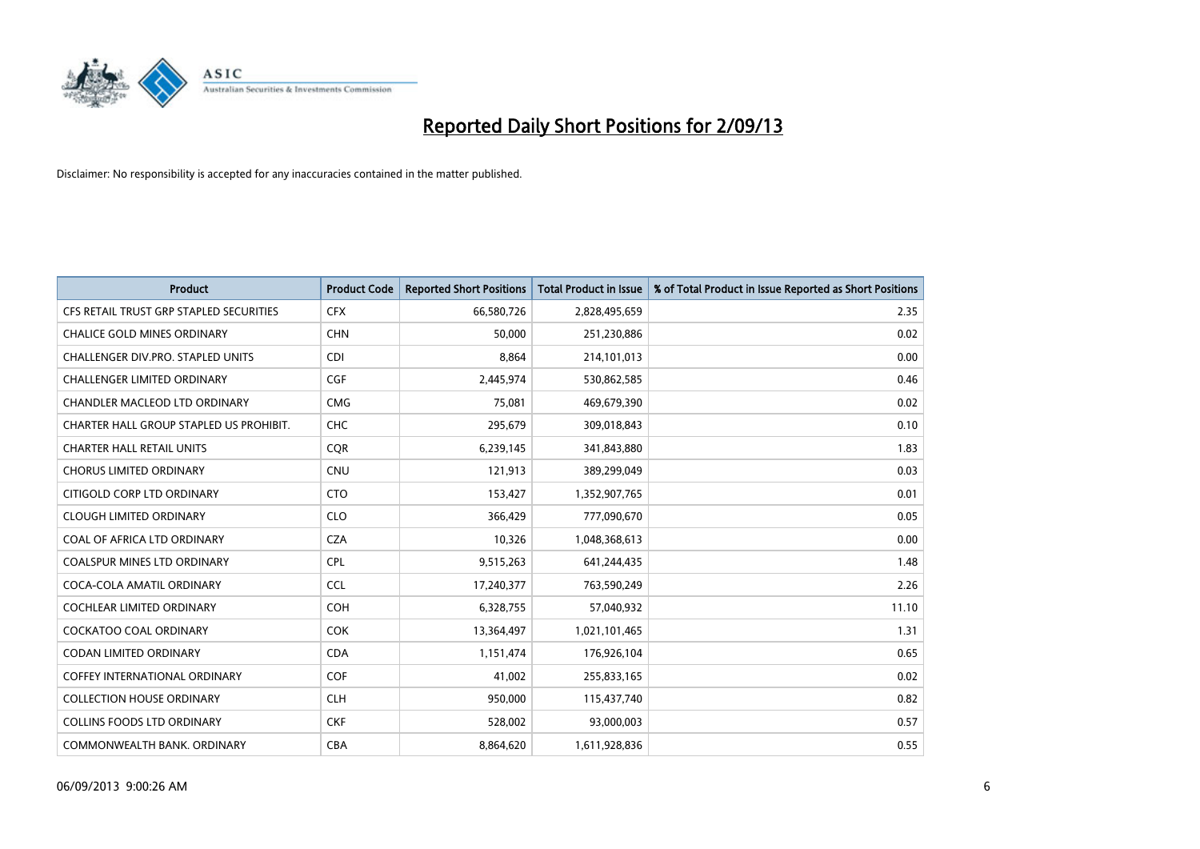

| <b>Product</b>                          | <b>Product Code</b> | <b>Reported Short Positions</b> | <b>Total Product in Issue</b> | % of Total Product in Issue Reported as Short Positions |
|-----------------------------------------|---------------------|---------------------------------|-------------------------------|---------------------------------------------------------|
| CFS RETAIL TRUST GRP STAPLED SECURITIES | <b>CFX</b>          | 66,580,726                      | 2,828,495,659                 | 2.35                                                    |
| <b>CHALICE GOLD MINES ORDINARY</b>      | <b>CHN</b>          | 50,000                          | 251,230,886                   | 0.02                                                    |
| CHALLENGER DIV.PRO. STAPLED UNITS       | <b>CDI</b>          | 8,864                           | 214,101,013                   | 0.00                                                    |
| CHALLENGER LIMITED ORDINARY             | <b>CGF</b>          | 2,445,974                       | 530,862,585                   | 0.46                                                    |
| <b>CHANDLER MACLEOD LTD ORDINARY</b>    | <b>CMG</b>          | 75,081                          | 469,679,390                   | 0.02                                                    |
| CHARTER HALL GROUP STAPLED US PROHIBIT. | <b>CHC</b>          | 295,679                         | 309,018,843                   | 0.10                                                    |
| <b>CHARTER HALL RETAIL UNITS</b>        | <b>CQR</b>          | 6,239,145                       | 341,843,880                   | 1.83                                                    |
| <b>CHORUS LIMITED ORDINARY</b>          | <b>CNU</b>          | 121,913                         | 389,299,049                   | 0.03                                                    |
| CITIGOLD CORP LTD ORDINARY              | <b>CTO</b>          | 153,427                         | 1,352,907,765                 | 0.01                                                    |
| <b>CLOUGH LIMITED ORDINARY</b>          | <b>CLO</b>          | 366,429                         | 777,090,670                   | 0.05                                                    |
| COAL OF AFRICA LTD ORDINARY             | <b>CZA</b>          | 10,326                          | 1,048,368,613                 | 0.00                                                    |
| <b>COALSPUR MINES LTD ORDINARY</b>      | <b>CPL</b>          | 9,515,263                       | 641,244,435                   | 1.48                                                    |
| COCA-COLA AMATIL ORDINARY               | <b>CCL</b>          | 17,240,377                      | 763,590,249                   | 2.26                                                    |
| <b>COCHLEAR LIMITED ORDINARY</b>        | <b>COH</b>          | 6,328,755                       | 57,040,932                    | 11.10                                                   |
| <b>COCKATOO COAL ORDINARY</b>           | <b>COK</b>          | 13,364,497                      | 1,021,101,465                 | 1.31                                                    |
| <b>CODAN LIMITED ORDINARY</b>           | <b>CDA</b>          | 1,151,474                       | 176,926,104                   | 0.65                                                    |
| <b>COFFEY INTERNATIONAL ORDINARY</b>    | <b>COF</b>          | 41,002                          | 255,833,165                   | 0.02                                                    |
| <b>COLLECTION HOUSE ORDINARY</b>        | <b>CLH</b>          | 950,000                         | 115,437,740                   | 0.82                                                    |
| <b>COLLINS FOODS LTD ORDINARY</b>       | <b>CKF</b>          | 528,002                         | 93,000,003                    | 0.57                                                    |
| COMMONWEALTH BANK, ORDINARY             | <b>CBA</b>          | 8,864,620                       | 1,611,928,836                 | 0.55                                                    |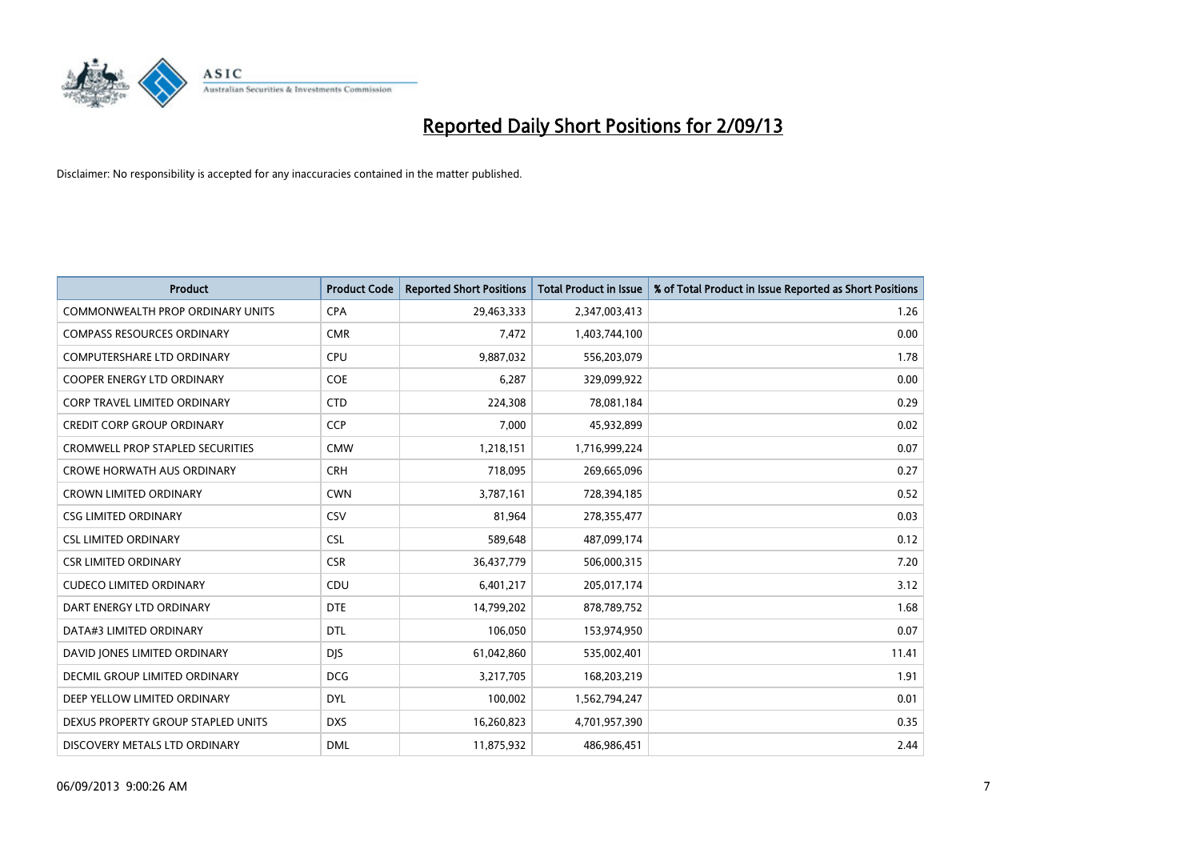

| <b>Product</b>                          | <b>Product Code</b> | <b>Reported Short Positions</b> | <b>Total Product in Issue</b> | % of Total Product in Issue Reported as Short Positions |
|-----------------------------------------|---------------------|---------------------------------|-------------------------------|---------------------------------------------------------|
| <b>COMMONWEALTH PROP ORDINARY UNITS</b> | <b>CPA</b>          | 29,463,333                      | 2,347,003,413                 | 1.26                                                    |
| <b>COMPASS RESOURCES ORDINARY</b>       | <b>CMR</b>          | 7,472                           | 1,403,744,100                 | 0.00                                                    |
| COMPUTERSHARE LTD ORDINARY              | <b>CPU</b>          | 9,887,032                       | 556,203,079                   | 1.78                                                    |
| <b>COOPER ENERGY LTD ORDINARY</b>       | <b>COE</b>          | 6,287                           | 329,099,922                   | 0.00                                                    |
| CORP TRAVEL LIMITED ORDINARY            | <b>CTD</b>          | 224,308                         | 78,081,184                    | 0.29                                                    |
| <b>CREDIT CORP GROUP ORDINARY</b>       | <b>CCP</b>          | 7,000                           | 45,932,899                    | 0.02                                                    |
| <b>CROMWELL PROP STAPLED SECURITIES</b> | <b>CMW</b>          | 1,218,151                       | 1,716,999,224                 | 0.07                                                    |
| <b>CROWE HORWATH AUS ORDINARY</b>       | <b>CRH</b>          | 718,095                         | 269,665,096                   | 0.27                                                    |
| <b>CROWN LIMITED ORDINARY</b>           | <b>CWN</b>          | 3,787,161                       | 728,394,185                   | 0.52                                                    |
| <b>CSG LIMITED ORDINARY</b>             | CSV                 | 81,964                          | 278,355,477                   | 0.03                                                    |
| <b>CSL LIMITED ORDINARY</b>             | <b>CSL</b>          | 589,648                         | 487,099,174                   | 0.12                                                    |
| <b>CSR LIMITED ORDINARY</b>             | <b>CSR</b>          | 36,437,779                      | 506,000,315                   | 7.20                                                    |
| <b>CUDECO LIMITED ORDINARY</b>          | CDU                 | 6,401,217                       | 205,017,174                   | 3.12                                                    |
| DART ENERGY LTD ORDINARY                | <b>DTE</b>          | 14,799,202                      | 878,789,752                   | 1.68                                                    |
| DATA#3 LIMITED ORDINARY                 | <b>DTL</b>          | 106,050                         | 153,974,950                   | 0.07                                                    |
| DAVID JONES LIMITED ORDINARY            | <b>DJS</b>          | 61,042,860                      | 535,002,401                   | 11.41                                                   |
| DECMIL GROUP LIMITED ORDINARY           | <b>DCG</b>          | 3,217,705                       | 168,203,219                   | 1.91                                                    |
| DEEP YELLOW LIMITED ORDINARY            | <b>DYL</b>          | 100,002                         | 1,562,794,247                 | 0.01                                                    |
| DEXUS PROPERTY GROUP STAPLED UNITS      | <b>DXS</b>          | 16,260,823                      | 4,701,957,390                 | 0.35                                                    |
| DISCOVERY METALS LTD ORDINARY           | <b>DML</b>          | 11,875,932                      | 486,986,451                   | 2.44                                                    |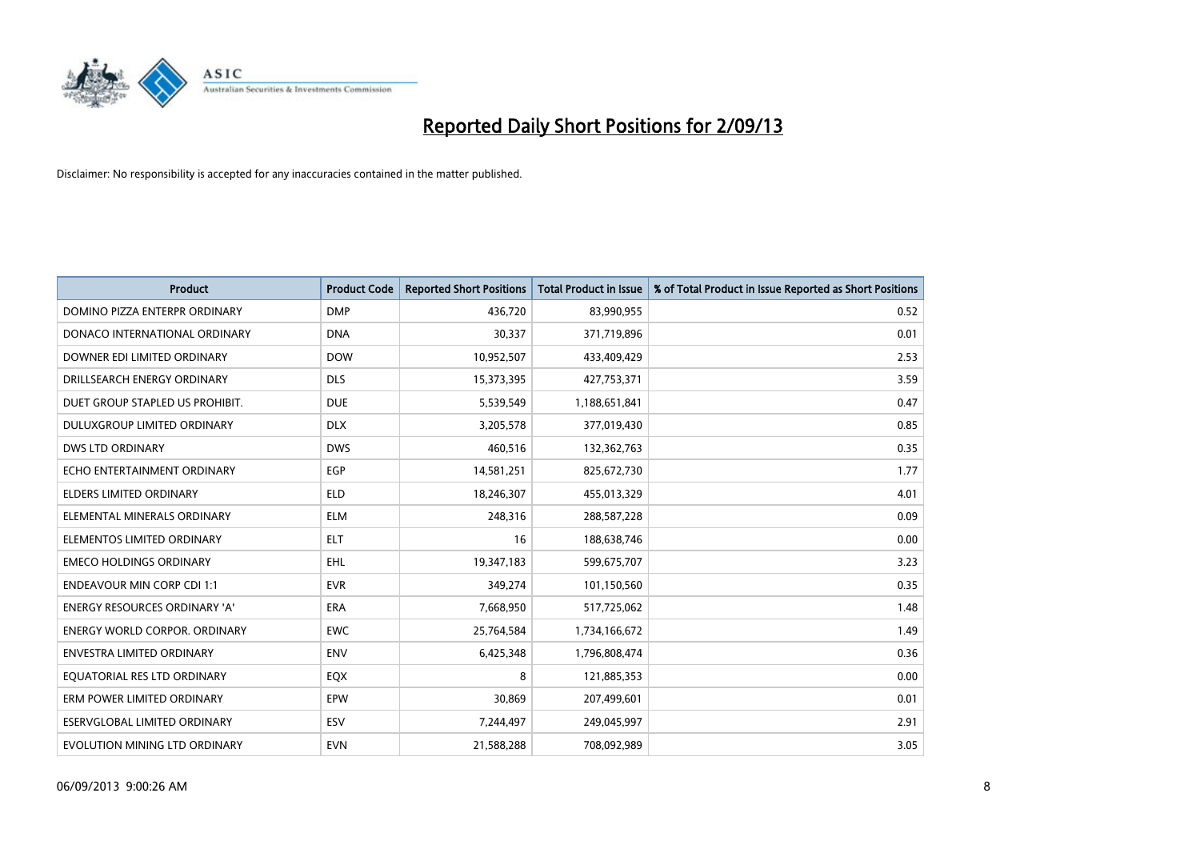

| <b>Product</b>                       | <b>Product Code</b> | <b>Reported Short Positions</b> | <b>Total Product in Issue</b> | % of Total Product in Issue Reported as Short Positions |
|--------------------------------------|---------------------|---------------------------------|-------------------------------|---------------------------------------------------------|
| DOMINO PIZZA ENTERPR ORDINARY        | <b>DMP</b>          | 436,720                         | 83,990,955                    | 0.52                                                    |
| DONACO INTERNATIONAL ORDINARY        | <b>DNA</b>          | 30,337                          | 371,719,896                   | 0.01                                                    |
| DOWNER EDI LIMITED ORDINARY          | <b>DOW</b>          | 10,952,507                      | 433,409,429                   | 2.53                                                    |
| DRILLSEARCH ENERGY ORDINARY          | <b>DLS</b>          | 15,373,395                      | 427,753,371                   | 3.59                                                    |
| DUET GROUP STAPLED US PROHIBIT.      | <b>DUE</b>          | 5,539,549                       | 1,188,651,841                 | 0.47                                                    |
| DULUXGROUP LIMITED ORDINARY          | <b>DLX</b>          | 3,205,578                       | 377,019,430                   | 0.85                                                    |
| <b>DWS LTD ORDINARY</b>              | <b>DWS</b>          | 460,516                         | 132,362,763                   | 0.35                                                    |
| ECHO ENTERTAINMENT ORDINARY          | <b>EGP</b>          | 14,581,251                      | 825,672,730                   | 1.77                                                    |
| <b>ELDERS LIMITED ORDINARY</b>       | <b>ELD</b>          | 18,246,307                      | 455,013,329                   | 4.01                                                    |
| ELEMENTAL MINERALS ORDINARY          | <b>ELM</b>          | 248,316                         | 288,587,228                   | 0.09                                                    |
| ELEMENTOS LIMITED ORDINARY           | <b>ELT</b>          | 16                              | 188,638,746                   | 0.00                                                    |
| <b>EMECO HOLDINGS ORDINARY</b>       | <b>EHL</b>          | 19,347,183                      | 599,675,707                   | 3.23                                                    |
| <b>ENDEAVOUR MIN CORP CDI 1:1</b>    | <b>EVR</b>          | 349,274                         | 101,150,560                   | 0.35                                                    |
| <b>ENERGY RESOURCES ORDINARY 'A'</b> | ERA                 | 7,668,950                       | 517,725,062                   | 1.48                                                    |
| <b>ENERGY WORLD CORPOR, ORDINARY</b> | <b>EWC</b>          | 25,764,584                      | 1,734,166,672                 | 1.49                                                    |
| ENVESTRA LIMITED ORDINARY            | ENV                 | 6,425,348                       | 1,796,808,474                 | 0.36                                                    |
| EQUATORIAL RES LTD ORDINARY          | EQX                 | 8                               | 121,885,353                   | 0.00                                                    |
| ERM POWER LIMITED ORDINARY           | <b>EPW</b>          | 30,869                          | 207,499,601                   | 0.01                                                    |
| ESERVGLOBAL LIMITED ORDINARY         | ESV                 | 7,244,497                       | 249,045,997                   | 2.91                                                    |
| EVOLUTION MINING LTD ORDINARY        | <b>EVN</b>          | 21,588,288                      | 708,092,989                   | 3.05                                                    |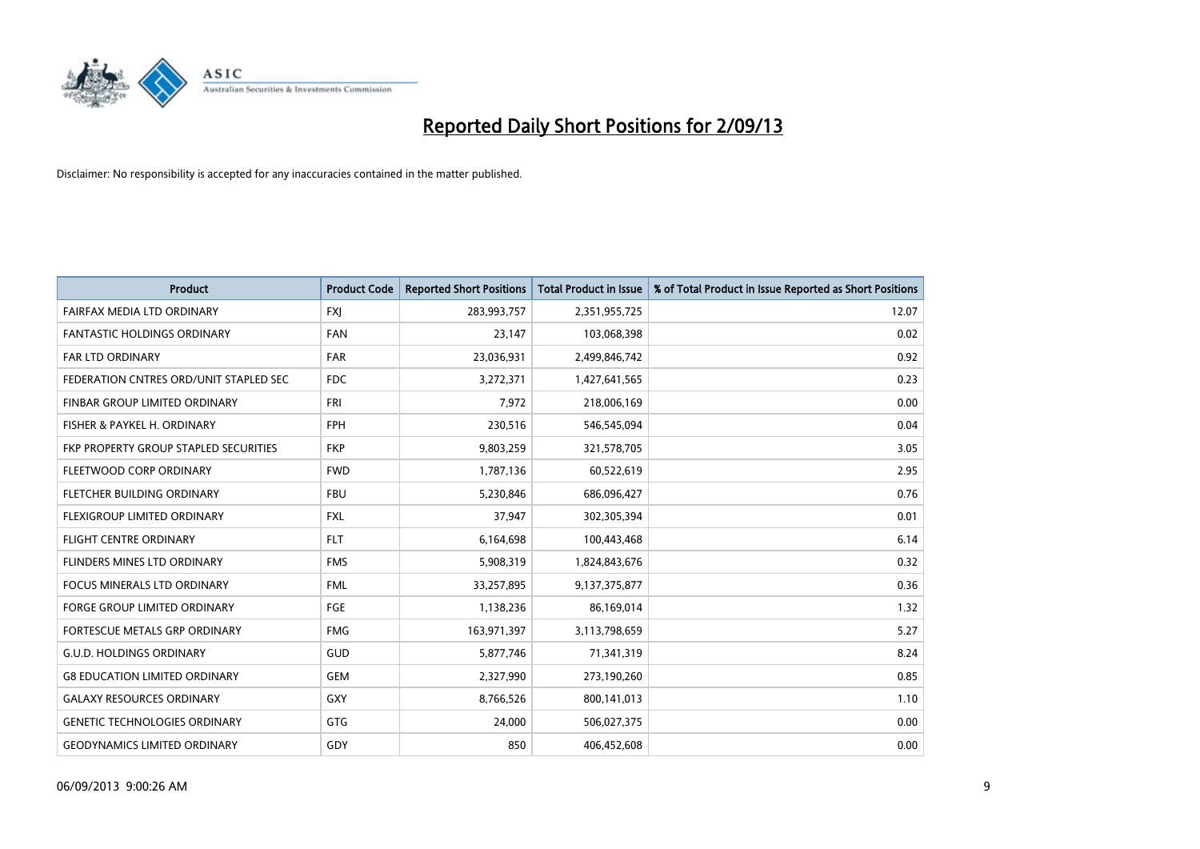

| <b>Product</b>                         | <b>Product Code</b> | <b>Reported Short Positions</b> | <b>Total Product in Issue</b> | % of Total Product in Issue Reported as Short Positions |
|----------------------------------------|---------------------|---------------------------------|-------------------------------|---------------------------------------------------------|
| FAIRFAX MEDIA LTD ORDINARY             | <b>FXI</b>          | 283,993,757                     | 2,351,955,725                 | 12.07                                                   |
| <b>FANTASTIC HOLDINGS ORDINARY</b>     | <b>FAN</b>          | 23,147                          | 103,068,398                   | 0.02                                                    |
| <b>FAR LTD ORDINARY</b>                | <b>FAR</b>          | 23,036,931                      | 2,499,846,742                 | 0.92                                                    |
| FEDERATION CNTRES ORD/UNIT STAPLED SEC | <b>FDC</b>          | 3,272,371                       | 1,427,641,565                 | 0.23                                                    |
| FINBAR GROUP LIMITED ORDINARY          | <b>FRI</b>          | 7,972                           | 218,006,169                   | 0.00                                                    |
| FISHER & PAYKEL H. ORDINARY            | <b>FPH</b>          | 230,516                         | 546,545,094                   | 0.04                                                    |
| FKP PROPERTY GROUP STAPLED SECURITIES  | <b>FKP</b>          | 9,803,259                       | 321,578,705                   | 3.05                                                    |
| FLEETWOOD CORP ORDINARY                | <b>FWD</b>          | 1,787,136                       | 60,522,619                    | 2.95                                                    |
| FLETCHER BUILDING ORDINARY             | <b>FBU</b>          | 5,230,846                       | 686,096,427                   | 0.76                                                    |
| FLEXIGROUP LIMITED ORDINARY            | <b>FXL</b>          | 37,947                          | 302,305,394                   | 0.01                                                    |
| FLIGHT CENTRE ORDINARY                 | <b>FLT</b>          | 6,164,698                       | 100,443,468                   | 6.14                                                    |
| <b>FLINDERS MINES LTD ORDINARY</b>     | <b>FMS</b>          | 5,908,319                       | 1,824,843,676                 | 0.32                                                    |
| FOCUS MINERALS LTD ORDINARY            | <b>FML</b>          | 33,257,895                      | 9,137,375,877                 | 0.36                                                    |
| <b>FORGE GROUP LIMITED ORDINARY</b>    | <b>FGE</b>          | 1,138,236                       | 86,169,014                    | 1.32                                                    |
| FORTESCUE METALS GRP ORDINARY          | <b>FMG</b>          | 163,971,397                     | 3,113,798,659                 | 5.27                                                    |
| <b>G.U.D. HOLDINGS ORDINARY</b>        | GUD                 | 5,877,746                       | 71,341,319                    | 8.24                                                    |
| <b>G8 EDUCATION LIMITED ORDINARY</b>   | GEM                 | 2,327,990                       | 273,190,260                   | 0.85                                                    |
| <b>GALAXY RESOURCES ORDINARY</b>       | GXY                 | 8,766,526                       | 800,141,013                   | 1.10                                                    |
| <b>GENETIC TECHNOLOGIES ORDINARY</b>   | GTG                 | 24,000                          | 506,027,375                   | 0.00                                                    |
| <b>GEODYNAMICS LIMITED ORDINARY</b>    | GDY                 | 850                             | 406,452,608                   | 0.00                                                    |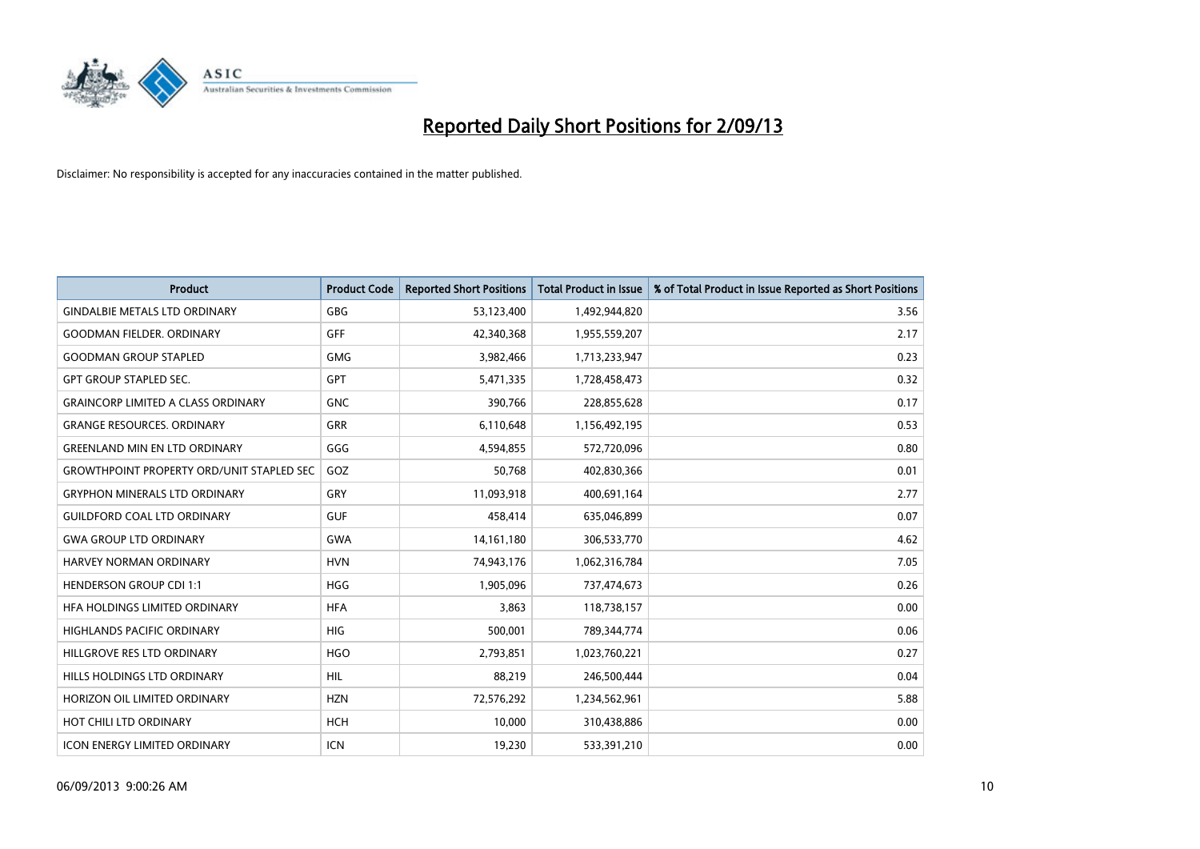

| <b>Product</b>                                   | <b>Product Code</b> | <b>Reported Short Positions</b> | <b>Total Product in Issue</b> | % of Total Product in Issue Reported as Short Positions |
|--------------------------------------------------|---------------------|---------------------------------|-------------------------------|---------------------------------------------------------|
| <b>GINDALBIE METALS LTD ORDINARY</b>             | GBG                 | 53,123,400                      | 1,492,944,820                 | 3.56                                                    |
| <b>GOODMAN FIELDER, ORDINARY</b>                 | GFF                 | 42,340,368                      | 1,955,559,207                 | 2.17                                                    |
| <b>GOODMAN GROUP STAPLED</b>                     | <b>GMG</b>          | 3,982,466                       | 1,713,233,947                 | 0.23                                                    |
| <b>GPT GROUP STAPLED SEC.</b>                    | GPT                 | 5,471,335                       | 1,728,458,473                 | 0.32                                                    |
| <b>GRAINCORP LIMITED A CLASS ORDINARY</b>        | <b>GNC</b>          | 390,766                         | 228,855,628                   | 0.17                                                    |
| <b>GRANGE RESOURCES, ORDINARY</b>                | <b>GRR</b>          | 6,110,648                       | 1,156,492,195                 | 0.53                                                    |
| <b>GREENLAND MIN EN LTD ORDINARY</b>             | GGG                 | 4,594,855                       | 572,720,096                   | 0.80                                                    |
| <b>GROWTHPOINT PROPERTY ORD/UNIT STAPLED SEC</b> | GOZ                 | 50,768                          | 402,830,366                   | 0.01                                                    |
| <b>GRYPHON MINERALS LTD ORDINARY</b>             | GRY                 | 11,093,918                      | 400,691,164                   | 2.77                                                    |
| <b>GUILDFORD COAL LTD ORDINARY</b>               | <b>GUF</b>          | 458,414                         | 635,046,899                   | 0.07                                                    |
| <b>GWA GROUP LTD ORDINARY</b>                    | <b>GWA</b>          | 14, 161, 180                    | 306,533,770                   | 4.62                                                    |
| <b>HARVEY NORMAN ORDINARY</b>                    | <b>HVN</b>          | 74,943,176                      | 1,062,316,784                 | 7.05                                                    |
| <b>HENDERSON GROUP CDI 1:1</b>                   | <b>HGG</b>          | 1,905,096                       | 737,474,673                   | 0.26                                                    |
| HFA HOLDINGS LIMITED ORDINARY                    | <b>HFA</b>          | 3,863                           | 118,738,157                   | 0.00                                                    |
| <b>HIGHLANDS PACIFIC ORDINARY</b>                | <b>HIG</b>          | 500,001                         | 789,344,774                   | 0.06                                                    |
| HILLGROVE RES LTD ORDINARY                       | <b>HGO</b>          | 2,793,851                       | 1,023,760,221                 | 0.27                                                    |
| HILLS HOLDINGS LTD ORDINARY                      | <b>HIL</b>          | 88,219                          | 246,500,444                   | 0.04                                                    |
| HORIZON OIL LIMITED ORDINARY                     | <b>HZN</b>          | 72,576,292                      | 1,234,562,961                 | 5.88                                                    |
| HOT CHILI LTD ORDINARY                           | <b>HCH</b>          | 10,000                          | 310,438,886                   | 0.00                                                    |
| <b>ICON ENERGY LIMITED ORDINARY</b>              | <b>ICN</b>          | 19,230                          | 533,391,210                   | 0.00                                                    |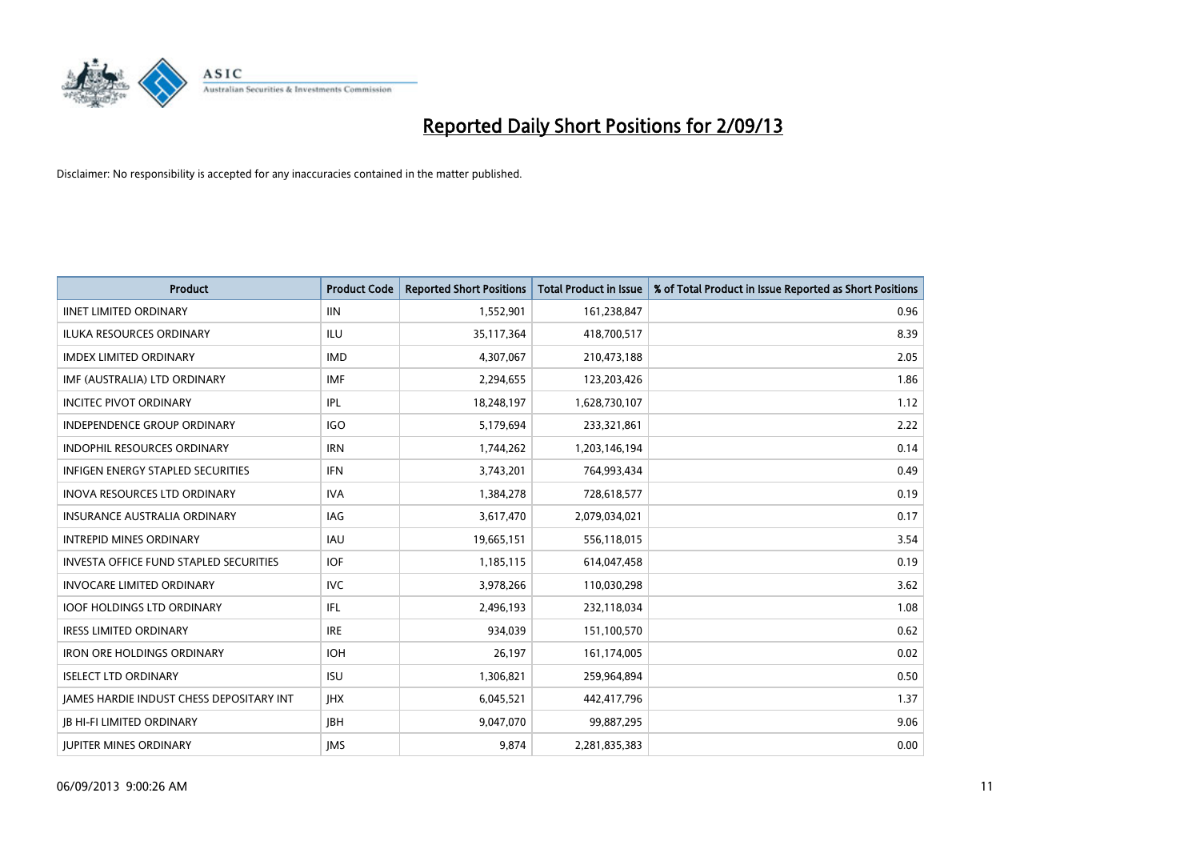

| <b>Product</b>                                | <b>Product Code</b> | <b>Reported Short Positions</b> | <b>Total Product in Issue</b> | % of Total Product in Issue Reported as Short Positions |
|-----------------------------------------------|---------------------|---------------------------------|-------------------------------|---------------------------------------------------------|
| <b>IINET LIMITED ORDINARY</b>                 | <b>IIN</b>          | 1,552,901                       | 161,238,847                   | 0.96                                                    |
| ILUKA RESOURCES ORDINARY                      | ILU                 | 35,117,364                      | 418,700,517                   | 8.39                                                    |
| <b>IMDEX LIMITED ORDINARY</b>                 | <b>IMD</b>          | 4,307,067                       | 210,473,188                   | 2.05                                                    |
| IMF (AUSTRALIA) LTD ORDINARY                  | <b>IMF</b>          | 2,294,655                       | 123,203,426                   | 1.86                                                    |
| <b>INCITEC PIVOT ORDINARY</b>                 | <b>IPL</b>          | 18,248,197                      | 1,628,730,107                 | 1.12                                                    |
| <b>INDEPENDENCE GROUP ORDINARY</b>            | <b>IGO</b>          | 5,179,694                       | 233,321,861                   | 2.22                                                    |
| <b>INDOPHIL RESOURCES ORDINARY</b>            | <b>IRN</b>          | 1,744,262                       | 1,203,146,194                 | 0.14                                                    |
| <b>INFIGEN ENERGY STAPLED SECURITIES</b>      | <b>IFN</b>          | 3,743,201                       | 764,993,434                   | 0.49                                                    |
| INOVA RESOURCES LTD ORDINARY                  | <b>IVA</b>          | 1,384,278                       | 728,618,577                   | 0.19                                                    |
| INSURANCE AUSTRALIA ORDINARY                  | <b>IAG</b>          | 3,617,470                       | 2,079,034,021                 | 0.17                                                    |
| <b>INTREPID MINES ORDINARY</b>                | <b>IAU</b>          | 19,665,151                      | 556,118,015                   | 3.54                                                    |
| <b>INVESTA OFFICE FUND STAPLED SECURITIES</b> | <b>IOF</b>          | 1,185,115                       | 614,047,458                   | 0.19                                                    |
| <b>INVOCARE LIMITED ORDINARY</b>              | <b>IVC</b>          | 3,978,266                       | 110,030,298                   | 3.62                                                    |
| <b>IOOF HOLDINGS LTD ORDINARY</b>             | IFL                 | 2,496,193                       | 232,118,034                   | 1.08                                                    |
| <b>IRESS LIMITED ORDINARY</b>                 | <b>IRE</b>          | 934,039                         | 151,100,570                   | 0.62                                                    |
| <b>IRON ORE HOLDINGS ORDINARY</b>             | <b>IOH</b>          | 26,197                          | 161,174,005                   | 0.02                                                    |
| <b>ISELECT LTD ORDINARY</b>                   | <b>ISU</b>          | 1,306,821                       | 259,964,894                   | 0.50                                                    |
| JAMES HARDIE INDUST CHESS DEPOSITARY INT      | <b>IHX</b>          | 6,045,521                       | 442,417,796                   | 1.37                                                    |
| <b>IB HI-FI LIMITED ORDINARY</b>              | <b>IBH</b>          | 9,047,070                       | 99,887,295                    | 9.06                                                    |
| <b>IUPITER MINES ORDINARY</b>                 | <b>IMS</b>          | 9,874                           | 2,281,835,383                 | 0.00                                                    |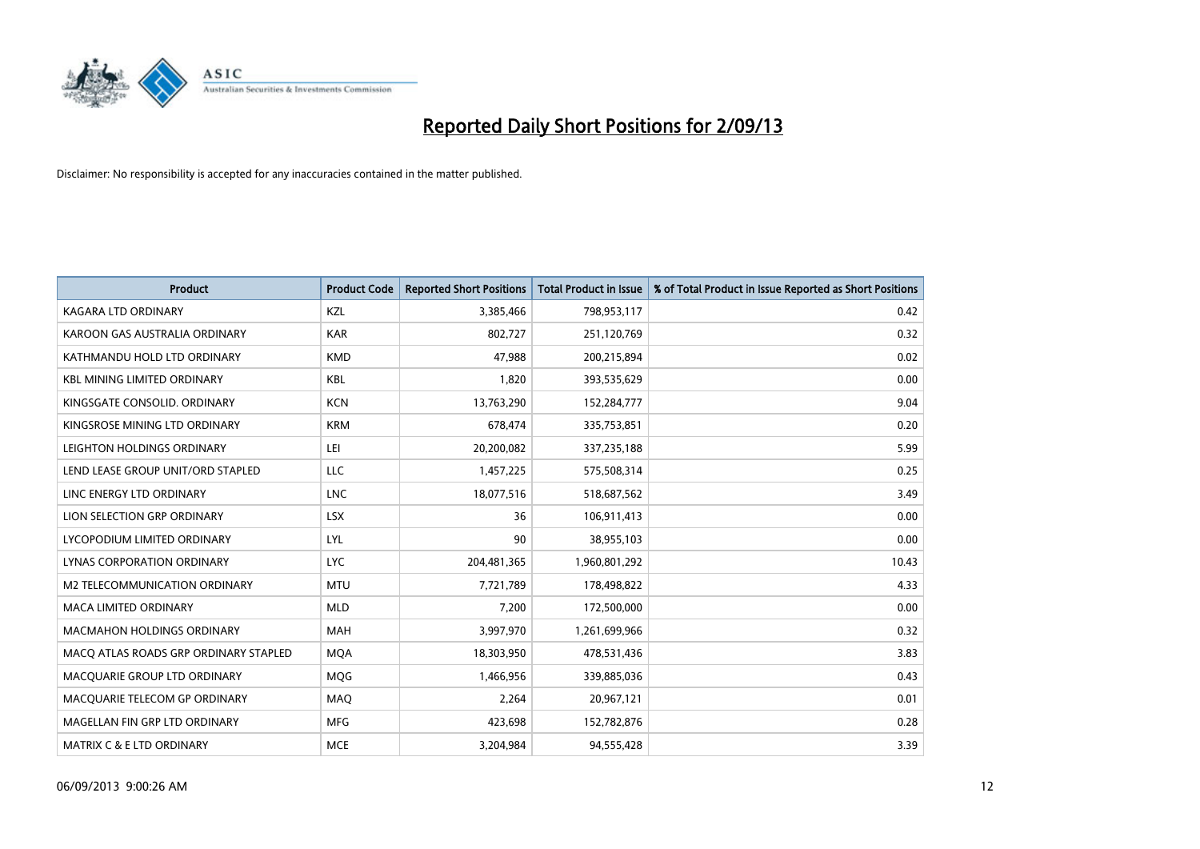

| <b>Product</b>                        | <b>Product Code</b> | <b>Reported Short Positions</b> | <b>Total Product in Issue</b> | % of Total Product in Issue Reported as Short Positions |
|---------------------------------------|---------------------|---------------------------------|-------------------------------|---------------------------------------------------------|
| <b>KAGARA LTD ORDINARY</b>            | <b>KZL</b>          | 3,385,466                       | 798,953,117                   | 0.42                                                    |
| KAROON GAS AUSTRALIA ORDINARY         | <b>KAR</b>          | 802,727                         | 251,120,769                   | 0.32                                                    |
| KATHMANDU HOLD LTD ORDINARY           | <b>KMD</b>          | 47,988                          | 200,215,894                   | 0.02                                                    |
| KBL MINING LIMITED ORDINARY           | <b>KBL</b>          | 1,820                           | 393,535,629                   | 0.00                                                    |
| KINGSGATE CONSOLID, ORDINARY          | <b>KCN</b>          | 13,763,290                      | 152,284,777                   | 9.04                                                    |
| KINGSROSE MINING LTD ORDINARY         | <b>KRM</b>          | 678,474                         | 335,753,851                   | 0.20                                                    |
| LEIGHTON HOLDINGS ORDINARY            | LEI                 | 20,200,082                      | 337,235,188                   | 5.99                                                    |
| LEND LEASE GROUP UNIT/ORD STAPLED     | LLC                 | 1,457,225                       | 575,508,314                   | 0.25                                                    |
| LINC ENERGY LTD ORDINARY              | <b>LNC</b>          | 18,077,516                      | 518,687,562                   | 3.49                                                    |
| LION SELECTION GRP ORDINARY           | <b>LSX</b>          | 36                              | 106,911,413                   | 0.00                                                    |
| LYCOPODIUM LIMITED ORDINARY           | LYL                 | 90                              | 38,955,103                    | 0.00                                                    |
| LYNAS CORPORATION ORDINARY            | <b>LYC</b>          | 204,481,365                     | 1,960,801,292                 | 10.43                                                   |
| M2 TELECOMMUNICATION ORDINARY         | <b>MTU</b>          | 7,721,789                       | 178,498,822                   | 4.33                                                    |
| <b>MACA LIMITED ORDINARY</b>          | <b>MLD</b>          | 7,200                           | 172,500,000                   | 0.00                                                    |
| <b>MACMAHON HOLDINGS ORDINARY</b>     | <b>MAH</b>          | 3,997,970                       | 1,261,699,966                 | 0.32                                                    |
| MACO ATLAS ROADS GRP ORDINARY STAPLED | <b>MOA</b>          | 18,303,950                      | 478,531,436                   | 3.83                                                    |
| MACQUARIE GROUP LTD ORDINARY          | MQG                 | 1,466,956                       | 339,885,036                   | 0.43                                                    |
| MACQUARIE TELECOM GP ORDINARY         | MAQ                 | 2,264                           | 20,967,121                    | 0.01                                                    |
| MAGELLAN FIN GRP LTD ORDINARY         | <b>MFG</b>          | 423,698                         | 152,782,876                   | 0.28                                                    |
| MATRIX C & E LTD ORDINARY             | <b>MCE</b>          | 3,204,984                       | 94,555,428                    | 3.39                                                    |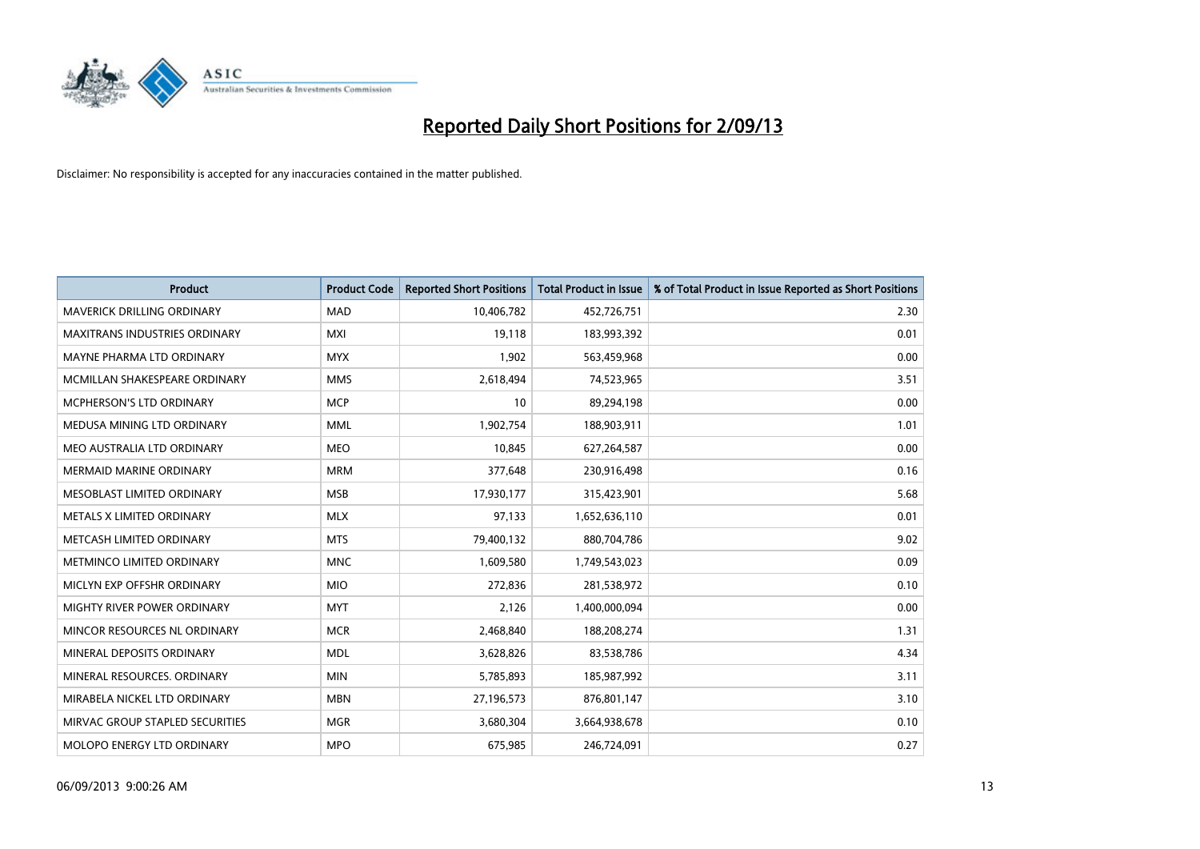

| <b>Product</b>                    | <b>Product Code</b> | <b>Reported Short Positions</b> | <b>Total Product in Issue</b> | % of Total Product in Issue Reported as Short Positions |
|-----------------------------------|---------------------|---------------------------------|-------------------------------|---------------------------------------------------------|
| <b>MAVERICK DRILLING ORDINARY</b> | <b>MAD</b>          | 10,406,782                      | 452,726,751                   | 2.30                                                    |
| MAXITRANS INDUSTRIES ORDINARY     | MXI                 | 19,118                          | 183,993,392                   | 0.01                                                    |
| MAYNE PHARMA LTD ORDINARY         | <b>MYX</b>          | 1,902                           | 563,459,968                   | 0.00                                                    |
| MCMILLAN SHAKESPEARE ORDINARY     | <b>MMS</b>          | 2,618,494                       | 74,523,965                    | 3.51                                                    |
| <b>MCPHERSON'S LTD ORDINARY</b>   | <b>MCP</b>          | 10                              | 89,294,198                    | 0.00                                                    |
| MEDUSA MINING LTD ORDINARY        | <b>MML</b>          | 1,902,754                       | 188,903,911                   | 1.01                                                    |
| MEO AUSTRALIA LTD ORDINARY        | <b>MEO</b>          | 10,845                          | 627,264,587                   | 0.00                                                    |
| <b>MERMAID MARINE ORDINARY</b>    | <b>MRM</b>          | 377,648                         | 230,916,498                   | 0.16                                                    |
| MESOBLAST LIMITED ORDINARY        | <b>MSB</b>          | 17,930,177                      | 315,423,901                   | 5.68                                                    |
| METALS X LIMITED ORDINARY         | <b>MLX</b>          | 97,133                          | 1,652,636,110                 | 0.01                                                    |
| METCASH LIMITED ORDINARY          | <b>MTS</b>          | 79,400,132                      | 880,704,786                   | 9.02                                                    |
| METMINCO LIMITED ORDINARY         | <b>MNC</b>          | 1,609,580                       | 1,749,543,023                 | 0.09                                                    |
| MICLYN EXP OFFSHR ORDINARY        | <b>MIO</b>          | 272,836                         | 281,538,972                   | 0.10                                                    |
| MIGHTY RIVER POWER ORDINARY       | <b>MYT</b>          | 2,126                           | 1,400,000,094                 | 0.00                                                    |
| MINCOR RESOURCES NL ORDINARY      | <b>MCR</b>          | 2,468,840                       | 188,208,274                   | 1.31                                                    |
| MINERAL DEPOSITS ORDINARY         | <b>MDL</b>          | 3,628,826                       | 83,538,786                    | 4.34                                                    |
| MINERAL RESOURCES. ORDINARY       | <b>MIN</b>          | 5,785,893                       | 185,987,992                   | 3.11                                                    |
| MIRABELA NICKEL LTD ORDINARY      | <b>MBN</b>          | 27,196,573                      | 876,801,147                   | 3.10                                                    |
| MIRVAC GROUP STAPLED SECURITIES   | <b>MGR</b>          | 3,680,304                       | 3,664,938,678                 | 0.10                                                    |
| MOLOPO ENERGY LTD ORDINARY        | <b>MPO</b>          | 675,985                         | 246,724,091                   | 0.27                                                    |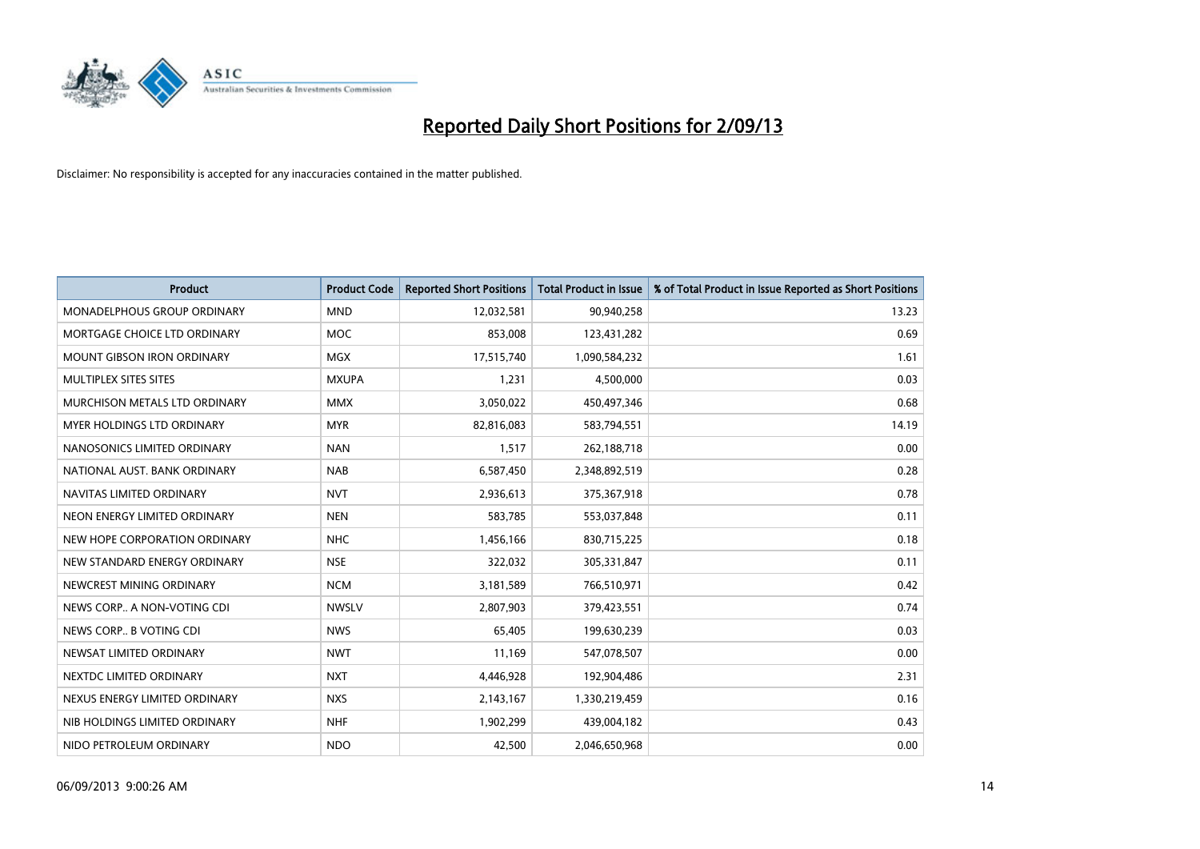

| <b>Product</b>                    | <b>Product Code</b> | <b>Reported Short Positions</b> | <b>Total Product in Issue</b> | % of Total Product in Issue Reported as Short Positions |
|-----------------------------------|---------------------|---------------------------------|-------------------------------|---------------------------------------------------------|
| MONADELPHOUS GROUP ORDINARY       | <b>MND</b>          | 12,032,581                      | 90,940,258                    | 13.23                                                   |
| MORTGAGE CHOICE LTD ORDINARY      | <b>MOC</b>          | 853,008                         | 123,431,282                   | 0.69                                                    |
| <b>MOUNT GIBSON IRON ORDINARY</b> | <b>MGX</b>          | 17,515,740                      | 1,090,584,232                 | 1.61                                                    |
| MULTIPLEX SITES SITES             | <b>MXUPA</b>        | 1,231                           | 4,500,000                     | 0.03                                                    |
| MURCHISON METALS LTD ORDINARY     | <b>MMX</b>          | 3,050,022                       | 450,497,346                   | 0.68                                                    |
| MYER HOLDINGS LTD ORDINARY        | <b>MYR</b>          | 82,816,083                      | 583,794,551                   | 14.19                                                   |
| NANOSONICS LIMITED ORDINARY       | <b>NAN</b>          | 1,517                           | 262,188,718                   | 0.00                                                    |
| NATIONAL AUST. BANK ORDINARY      | <b>NAB</b>          | 6,587,450                       | 2,348,892,519                 | 0.28                                                    |
| NAVITAS LIMITED ORDINARY          | <b>NVT</b>          | 2,936,613                       | 375,367,918                   | 0.78                                                    |
| NEON ENERGY LIMITED ORDINARY      | <b>NEN</b>          | 583,785                         | 553,037,848                   | 0.11                                                    |
| NEW HOPE CORPORATION ORDINARY     | <b>NHC</b>          | 1,456,166                       | 830,715,225                   | 0.18                                                    |
| NEW STANDARD ENERGY ORDINARY      | <b>NSE</b>          | 322,032                         | 305,331,847                   | 0.11                                                    |
| NEWCREST MINING ORDINARY          | <b>NCM</b>          | 3,181,589                       | 766,510,971                   | 0.42                                                    |
| NEWS CORP A NON-VOTING CDI        | <b>NWSLV</b>        | 2,807,903                       | 379,423,551                   | 0.74                                                    |
| NEWS CORP B VOTING CDI            | <b>NWS</b>          | 65,405                          | 199,630,239                   | 0.03                                                    |
| NEWSAT LIMITED ORDINARY           | <b>NWT</b>          | 11,169                          | 547,078,507                   | 0.00                                                    |
| NEXTDC LIMITED ORDINARY           | <b>NXT</b>          | 4,446,928                       | 192,904,486                   | 2.31                                                    |
| NEXUS ENERGY LIMITED ORDINARY     | <b>NXS</b>          | 2,143,167                       | 1,330,219,459                 | 0.16                                                    |
| NIB HOLDINGS LIMITED ORDINARY     | <b>NHF</b>          | 1,902,299                       | 439,004,182                   | 0.43                                                    |
| NIDO PETROLEUM ORDINARY           | <b>NDO</b>          | 42,500                          | 2,046,650,968                 | 0.00                                                    |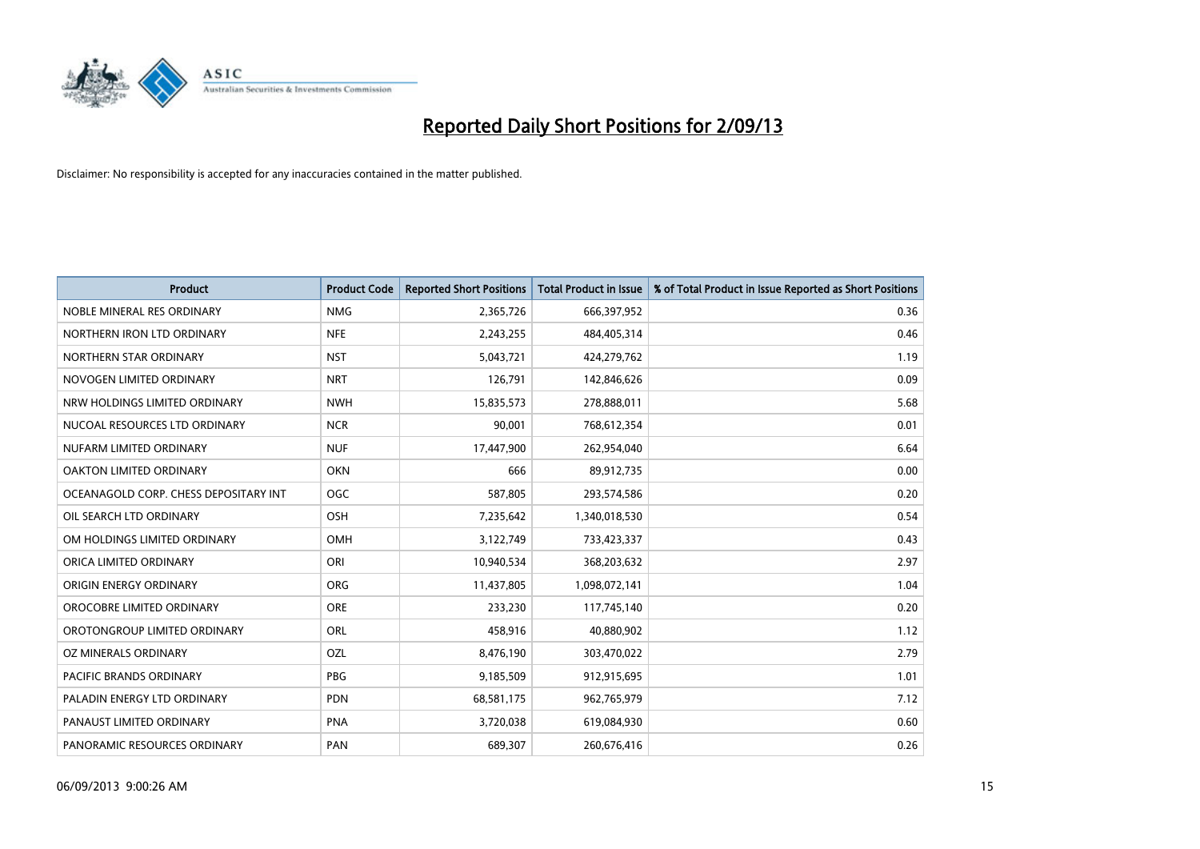

| <b>Product</b>                        | <b>Product Code</b> | <b>Reported Short Positions</b> | <b>Total Product in Issue</b> | % of Total Product in Issue Reported as Short Positions |
|---------------------------------------|---------------------|---------------------------------|-------------------------------|---------------------------------------------------------|
| NOBLE MINERAL RES ORDINARY            | <b>NMG</b>          | 2,365,726                       | 666,397,952                   | 0.36                                                    |
| NORTHERN IRON LTD ORDINARY            | <b>NFE</b>          | 2,243,255                       | 484,405,314                   | 0.46                                                    |
| NORTHERN STAR ORDINARY                | <b>NST</b>          | 5,043,721                       | 424,279,762                   | 1.19                                                    |
| NOVOGEN LIMITED ORDINARY              | <b>NRT</b>          | 126,791                         | 142,846,626                   | 0.09                                                    |
| NRW HOLDINGS LIMITED ORDINARY         | <b>NWH</b>          | 15,835,573                      | 278,888,011                   | 5.68                                                    |
| NUCOAL RESOURCES LTD ORDINARY         | <b>NCR</b>          | 90,001                          | 768,612,354                   | 0.01                                                    |
| NUFARM LIMITED ORDINARY               | <b>NUF</b>          | 17,447,900                      | 262,954,040                   | 6.64                                                    |
| <b>OAKTON LIMITED ORDINARY</b>        | <b>OKN</b>          | 666                             | 89,912,735                    | 0.00                                                    |
| OCEANAGOLD CORP. CHESS DEPOSITARY INT | OGC                 | 587,805                         | 293,574,586                   | 0.20                                                    |
| OIL SEARCH LTD ORDINARY               | <b>OSH</b>          | 7,235,642                       | 1,340,018,530                 | 0.54                                                    |
| OM HOLDINGS LIMITED ORDINARY          | OMH                 | 3,122,749                       | 733,423,337                   | 0.43                                                    |
| ORICA LIMITED ORDINARY                | ORI                 | 10,940,534                      | 368,203,632                   | 2.97                                                    |
| ORIGIN ENERGY ORDINARY                | ORG                 | 11,437,805                      | 1,098,072,141                 | 1.04                                                    |
| OROCOBRE LIMITED ORDINARY             | <b>ORE</b>          | 233,230                         | 117,745,140                   | 0.20                                                    |
| OROTONGROUP LIMITED ORDINARY          | ORL                 | 458,916                         | 40,880,902                    | 1.12                                                    |
| OZ MINERALS ORDINARY                  | OZL                 | 8,476,190                       | 303,470,022                   | 2.79                                                    |
| PACIFIC BRANDS ORDINARY               | <b>PBG</b>          | 9,185,509                       | 912,915,695                   | 1.01                                                    |
| PALADIN ENERGY LTD ORDINARY           | <b>PDN</b>          | 68,581,175                      | 962,765,979                   | 7.12                                                    |
| PANAUST LIMITED ORDINARY              | <b>PNA</b>          | 3,720,038                       | 619,084,930                   | 0.60                                                    |
| PANORAMIC RESOURCES ORDINARY          | PAN                 | 689,307                         | 260,676,416                   | 0.26                                                    |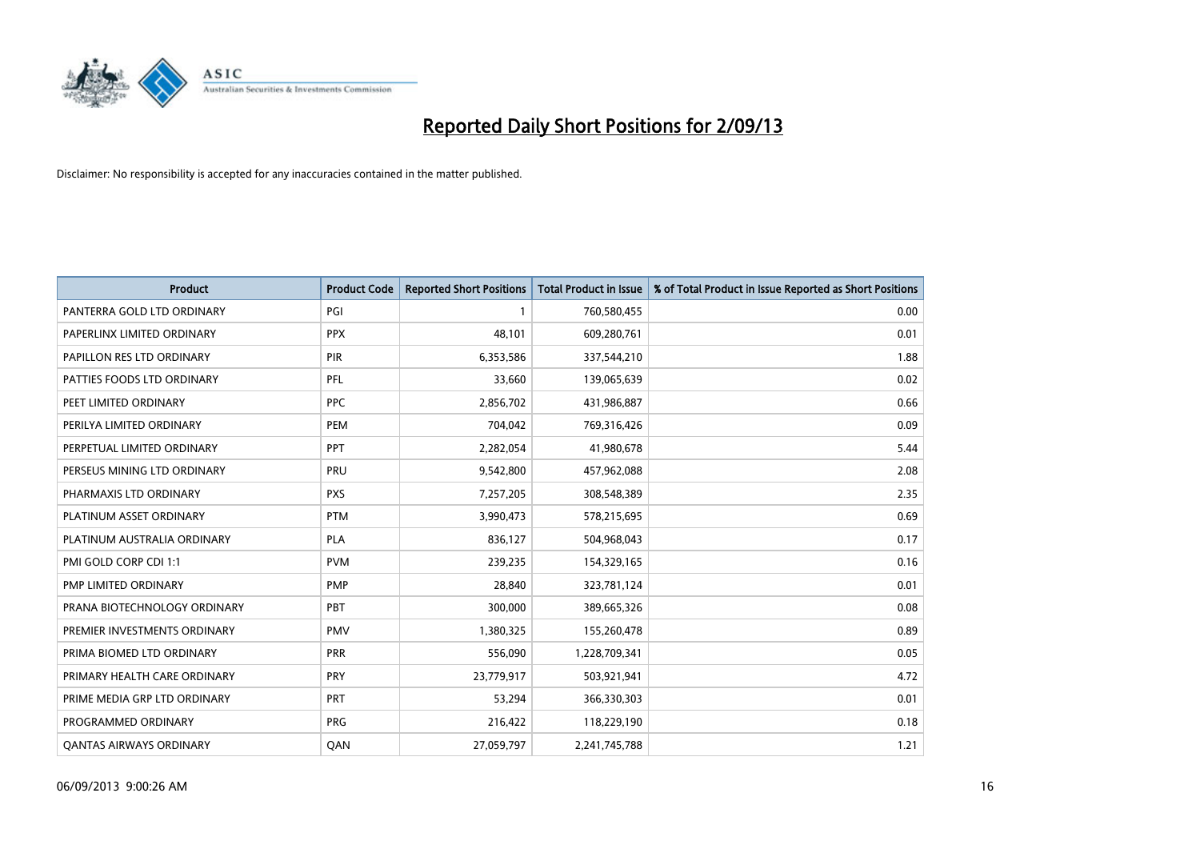

| <b>Product</b>                 | <b>Product Code</b> | <b>Reported Short Positions</b> | <b>Total Product in Issue</b> | % of Total Product in Issue Reported as Short Positions |
|--------------------------------|---------------------|---------------------------------|-------------------------------|---------------------------------------------------------|
| PANTERRA GOLD LTD ORDINARY     | PGI                 |                                 | 760,580,455                   | 0.00                                                    |
| PAPERLINX LIMITED ORDINARY     | <b>PPX</b>          | 48,101                          | 609,280,761                   | 0.01                                                    |
| PAPILLON RES LTD ORDINARY      | <b>PIR</b>          | 6,353,586                       | 337,544,210                   | 1.88                                                    |
| PATTIES FOODS LTD ORDINARY     | PFL                 | 33,660                          | 139,065,639                   | 0.02                                                    |
| PEET LIMITED ORDINARY          | <b>PPC</b>          | 2,856,702                       | 431,986,887                   | 0.66                                                    |
| PERILYA LIMITED ORDINARY       | PEM                 | 704,042                         | 769,316,426                   | 0.09                                                    |
| PERPETUAL LIMITED ORDINARY     | <b>PPT</b>          | 2,282,054                       | 41,980,678                    | 5.44                                                    |
| PERSEUS MINING LTD ORDINARY    | PRU                 | 9,542,800                       | 457,962,088                   | 2.08                                                    |
| PHARMAXIS LTD ORDINARY         | <b>PXS</b>          | 7,257,205                       | 308,548,389                   | 2.35                                                    |
| PLATINUM ASSET ORDINARY        | <b>PTM</b>          | 3,990,473                       | 578,215,695                   | 0.69                                                    |
| PLATINUM AUSTRALIA ORDINARY    | <b>PLA</b>          | 836,127                         | 504,968,043                   | 0.17                                                    |
| PMI GOLD CORP CDI 1:1          | <b>PVM</b>          | 239,235                         | 154,329,165                   | 0.16                                                    |
| PMP LIMITED ORDINARY           | <b>PMP</b>          | 28,840                          | 323,781,124                   | 0.01                                                    |
| PRANA BIOTECHNOLOGY ORDINARY   | <b>PBT</b>          | 300,000                         | 389,665,326                   | 0.08                                                    |
| PREMIER INVESTMENTS ORDINARY   | <b>PMV</b>          | 1,380,325                       | 155,260,478                   | 0.89                                                    |
| PRIMA BIOMED LTD ORDINARY      | <b>PRR</b>          | 556,090                         | 1,228,709,341                 | 0.05                                                    |
| PRIMARY HEALTH CARE ORDINARY   | <b>PRY</b>          | 23,779,917                      | 503,921,941                   | 4.72                                                    |
| PRIME MEDIA GRP LTD ORDINARY   | PRT                 | 53,294                          | 366,330,303                   | 0.01                                                    |
| PROGRAMMED ORDINARY            | <b>PRG</b>          | 216,422                         | 118,229,190                   | 0.18                                                    |
| <b>QANTAS AIRWAYS ORDINARY</b> | QAN                 | 27,059,797                      | 2,241,745,788                 | 1.21                                                    |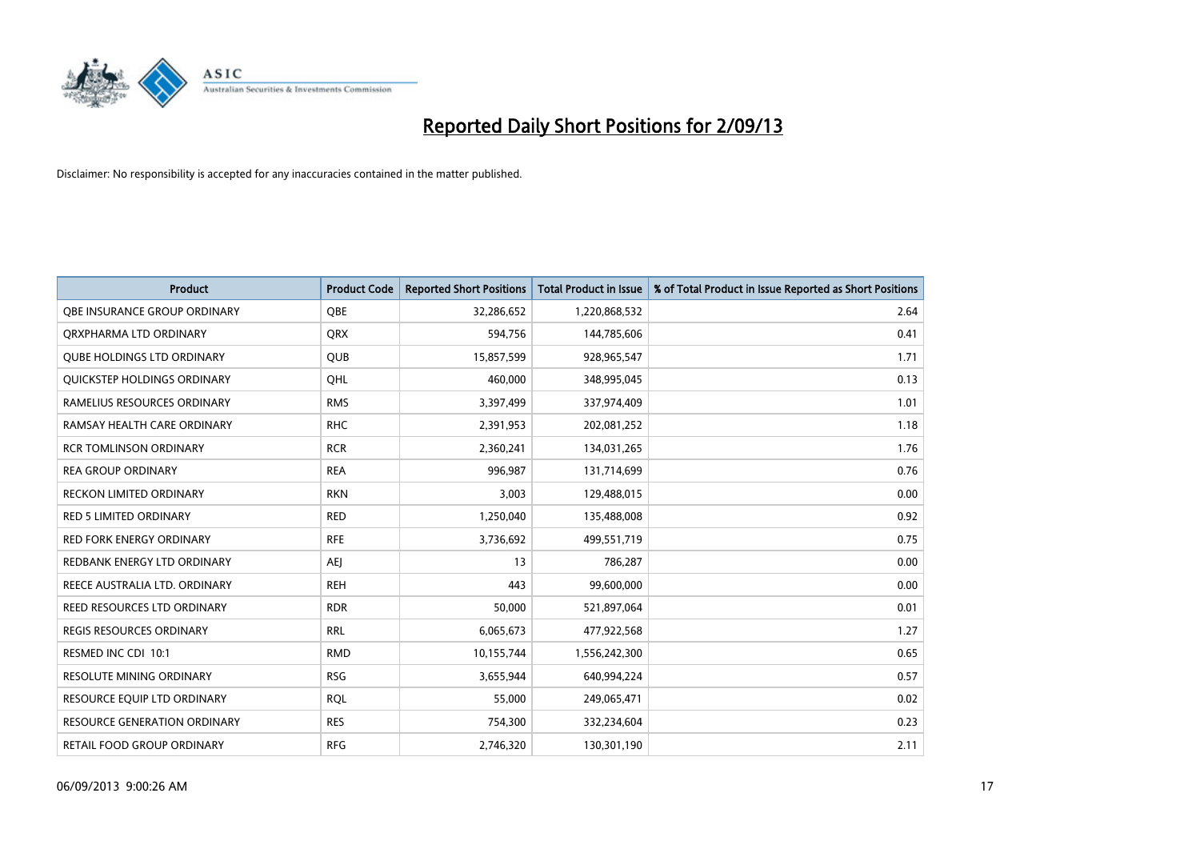

| <b>Product</b>                      | <b>Product Code</b> | <b>Reported Short Positions</b> | <b>Total Product in Issue</b> | % of Total Product in Issue Reported as Short Positions |
|-------------------------------------|---------------------|---------------------------------|-------------------------------|---------------------------------------------------------|
| OBE INSURANCE GROUP ORDINARY        | <b>OBE</b>          | 32,286,652                      | 1,220,868,532                 | 2.64                                                    |
| ORXPHARMA LTD ORDINARY              | <b>QRX</b>          | 594,756                         | 144,785,606                   | 0.41                                                    |
| <b>QUBE HOLDINGS LTD ORDINARY</b>   | QUB                 | 15,857,599                      | 928,965,547                   | 1.71                                                    |
| QUICKSTEP HOLDINGS ORDINARY         | OHL                 | 460,000                         | 348,995,045                   | 0.13                                                    |
| RAMELIUS RESOURCES ORDINARY         | <b>RMS</b>          | 3,397,499                       | 337,974,409                   | 1.01                                                    |
| RAMSAY HEALTH CARE ORDINARY         | <b>RHC</b>          | 2,391,953                       | 202,081,252                   | 1.18                                                    |
| <b>RCR TOMLINSON ORDINARY</b>       | <b>RCR</b>          | 2,360,241                       | 134,031,265                   | 1.76                                                    |
| <b>REA GROUP ORDINARY</b>           | <b>REA</b>          | 996,987                         | 131,714,699                   | 0.76                                                    |
| <b>RECKON LIMITED ORDINARY</b>      | <b>RKN</b>          | 3,003                           | 129,488,015                   | 0.00                                                    |
| <b>RED 5 LIMITED ORDINARY</b>       | <b>RED</b>          | 1,250,040                       | 135,488,008                   | 0.92                                                    |
| RED FORK ENERGY ORDINARY            | <b>RFE</b>          | 3,736,692                       | 499,551,719                   | 0.75                                                    |
| REDBANK ENERGY LTD ORDINARY         | AEJ                 | 13                              | 786,287                       | 0.00                                                    |
| REECE AUSTRALIA LTD. ORDINARY       | <b>REH</b>          | 443                             | 99,600,000                    | 0.00                                                    |
| <b>REED RESOURCES LTD ORDINARY</b>  | <b>RDR</b>          | 50,000                          | 521,897,064                   | 0.01                                                    |
| <b>REGIS RESOURCES ORDINARY</b>     | <b>RRL</b>          | 6,065,673                       | 477,922,568                   | 1.27                                                    |
| RESMED INC CDI 10:1                 | <b>RMD</b>          | 10,155,744                      | 1,556,242,300                 | 0.65                                                    |
| RESOLUTE MINING ORDINARY            | <b>RSG</b>          | 3,655,944                       | 640,994,224                   | 0.57                                                    |
| RESOURCE EQUIP LTD ORDINARY         | <b>RQL</b>          | 55,000                          | 249,065,471                   | 0.02                                                    |
| <b>RESOURCE GENERATION ORDINARY</b> | <b>RES</b>          | 754,300                         | 332,234,604                   | 0.23                                                    |
| RETAIL FOOD GROUP ORDINARY          | <b>RFG</b>          | 2,746,320                       | 130,301,190                   | 2.11                                                    |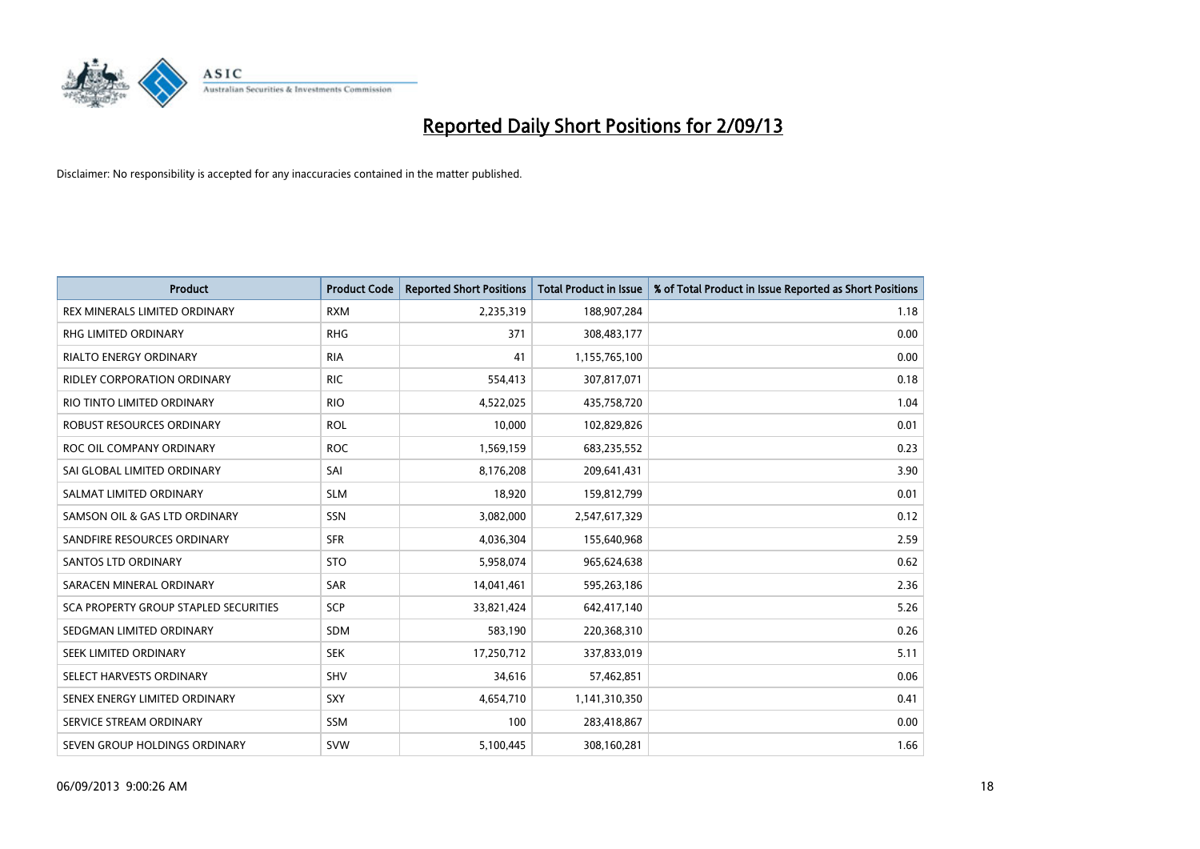

| Product                                      | <b>Product Code</b> | <b>Reported Short Positions</b> | <b>Total Product in Issue</b> | % of Total Product in Issue Reported as Short Positions |
|----------------------------------------------|---------------------|---------------------------------|-------------------------------|---------------------------------------------------------|
| REX MINERALS LIMITED ORDINARY                | <b>RXM</b>          | 2,235,319                       | 188,907,284                   | 1.18                                                    |
| <b>RHG LIMITED ORDINARY</b>                  | <b>RHG</b>          | 371                             | 308,483,177                   | 0.00                                                    |
| <b>RIALTO ENERGY ORDINARY</b>                | <b>RIA</b>          | 41                              | 1,155,765,100                 | 0.00                                                    |
| <b>RIDLEY CORPORATION ORDINARY</b>           | <b>RIC</b>          | 554,413                         | 307,817,071                   | 0.18                                                    |
| RIO TINTO LIMITED ORDINARY                   | <b>RIO</b>          | 4,522,025                       | 435,758,720                   | 1.04                                                    |
| <b>ROBUST RESOURCES ORDINARY</b>             | <b>ROL</b>          | 10,000                          | 102,829,826                   | 0.01                                                    |
| ROC OIL COMPANY ORDINARY                     | <b>ROC</b>          | 1,569,159                       | 683,235,552                   | 0.23                                                    |
| SAI GLOBAL LIMITED ORDINARY                  | SAI                 | 8,176,208                       | 209,641,431                   | 3.90                                                    |
| SALMAT LIMITED ORDINARY                      | <b>SLM</b>          | 18,920                          | 159,812,799                   | 0.01                                                    |
| SAMSON OIL & GAS LTD ORDINARY                | <b>SSN</b>          | 3,082,000                       | 2,547,617,329                 | 0.12                                                    |
| SANDFIRE RESOURCES ORDINARY                  | <b>SFR</b>          | 4,036,304                       | 155,640,968                   | 2.59                                                    |
| <b>SANTOS LTD ORDINARY</b>                   | <b>STO</b>          | 5,958,074                       | 965,624,638                   | 0.62                                                    |
| SARACEN MINERAL ORDINARY                     | <b>SAR</b>          | 14,041,461                      | 595,263,186                   | 2.36                                                    |
| <b>SCA PROPERTY GROUP STAPLED SECURITIES</b> | <b>SCP</b>          | 33,821,424                      | 642,417,140                   | 5.26                                                    |
| SEDGMAN LIMITED ORDINARY                     | <b>SDM</b>          | 583,190                         | 220,368,310                   | 0.26                                                    |
| SEEK LIMITED ORDINARY                        | <b>SEK</b>          | 17,250,712                      | 337,833,019                   | 5.11                                                    |
| SELECT HARVESTS ORDINARY                     | SHV                 | 34,616                          | 57,462,851                    | 0.06                                                    |
| SENEX ENERGY LIMITED ORDINARY                | SXY                 | 4,654,710                       | 1,141,310,350                 | 0.41                                                    |
| SERVICE STREAM ORDINARY                      | SSM                 | 100                             | 283,418,867                   | 0.00                                                    |
| SEVEN GROUP HOLDINGS ORDINARY                | <b>SVW</b>          | 5,100,445                       | 308,160,281                   | 1.66                                                    |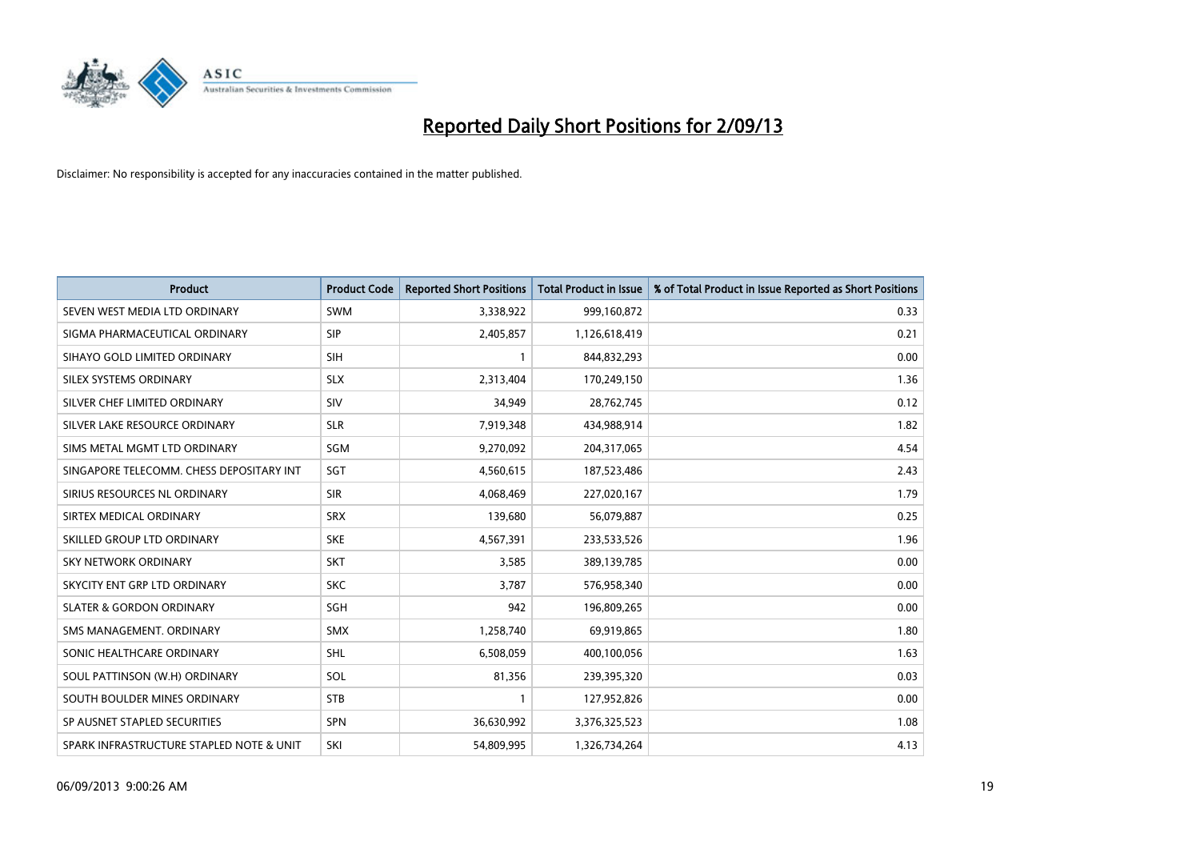

| <b>Product</b>                           | <b>Product Code</b> | <b>Reported Short Positions</b> | <b>Total Product in Issue</b> | % of Total Product in Issue Reported as Short Positions |
|------------------------------------------|---------------------|---------------------------------|-------------------------------|---------------------------------------------------------|
| SEVEN WEST MEDIA LTD ORDINARY            | <b>SWM</b>          | 3,338,922                       | 999,160,872                   | 0.33                                                    |
| SIGMA PHARMACEUTICAL ORDINARY            | <b>SIP</b>          | 2,405,857                       | 1,126,618,419                 | 0.21                                                    |
| SIHAYO GOLD LIMITED ORDINARY             | <b>SIH</b>          | 1                               | 844,832,293                   | 0.00                                                    |
| SILEX SYSTEMS ORDINARY                   | <b>SLX</b>          | 2,313,404                       | 170,249,150                   | 1.36                                                    |
| SILVER CHEF LIMITED ORDINARY             | SIV                 | 34.949                          | 28,762,745                    | 0.12                                                    |
| SILVER LAKE RESOURCE ORDINARY            | <b>SLR</b>          | 7,919,348                       | 434,988,914                   | 1.82                                                    |
| SIMS METAL MGMT LTD ORDINARY             | SGM                 | 9,270,092                       | 204,317,065                   | 4.54                                                    |
| SINGAPORE TELECOMM. CHESS DEPOSITARY INT | SGT                 | 4,560,615                       | 187,523,486                   | 2.43                                                    |
| SIRIUS RESOURCES NL ORDINARY             | <b>SIR</b>          | 4,068,469                       | 227,020,167                   | 1.79                                                    |
| SIRTEX MEDICAL ORDINARY                  | <b>SRX</b>          | 139,680                         | 56,079,887                    | 0.25                                                    |
| SKILLED GROUP LTD ORDINARY               | <b>SKE</b>          | 4,567,391                       | 233,533,526                   | 1.96                                                    |
| <b>SKY NETWORK ORDINARY</b>              | <b>SKT</b>          | 3,585                           | 389,139,785                   | 0.00                                                    |
| SKYCITY ENT GRP LTD ORDINARY             | <b>SKC</b>          | 3,787                           | 576,958,340                   | 0.00                                                    |
| <b>SLATER &amp; GORDON ORDINARY</b>      | <b>SGH</b>          | 942                             | 196,809,265                   | 0.00                                                    |
| SMS MANAGEMENT, ORDINARY                 | <b>SMX</b>          | 1,258,740                       | 69,919,865                    | 1.80                                                    |
| SONIC HEALTHCARE ORDINARY                | <b>SHL</b>          | 6,508,059                       | 400,100,056                   | 1.63                                                    |
| SOUL PATTINSON (W.H) ORDINARY            | SOL                 | 81,356                          | 239,395,320                   | 0.03                                                    |
| SOUTH BOULDER MINES ORDINARY             | <b>STB</b>          | 1                               | 127,952,826                   | 0.00                                                    |
| SP AUSNET STAPLED SECURITIES             | <b>SPN</b>          | 36,630,992                      | 3,376,325,523                 | 1.08                                                    |
| SPARK INFRASTRUCTURE STAPLED NOTE & UNIT | SKI                 | 54.809.995                      | 1,326,734,264                 | 4.13                                                    |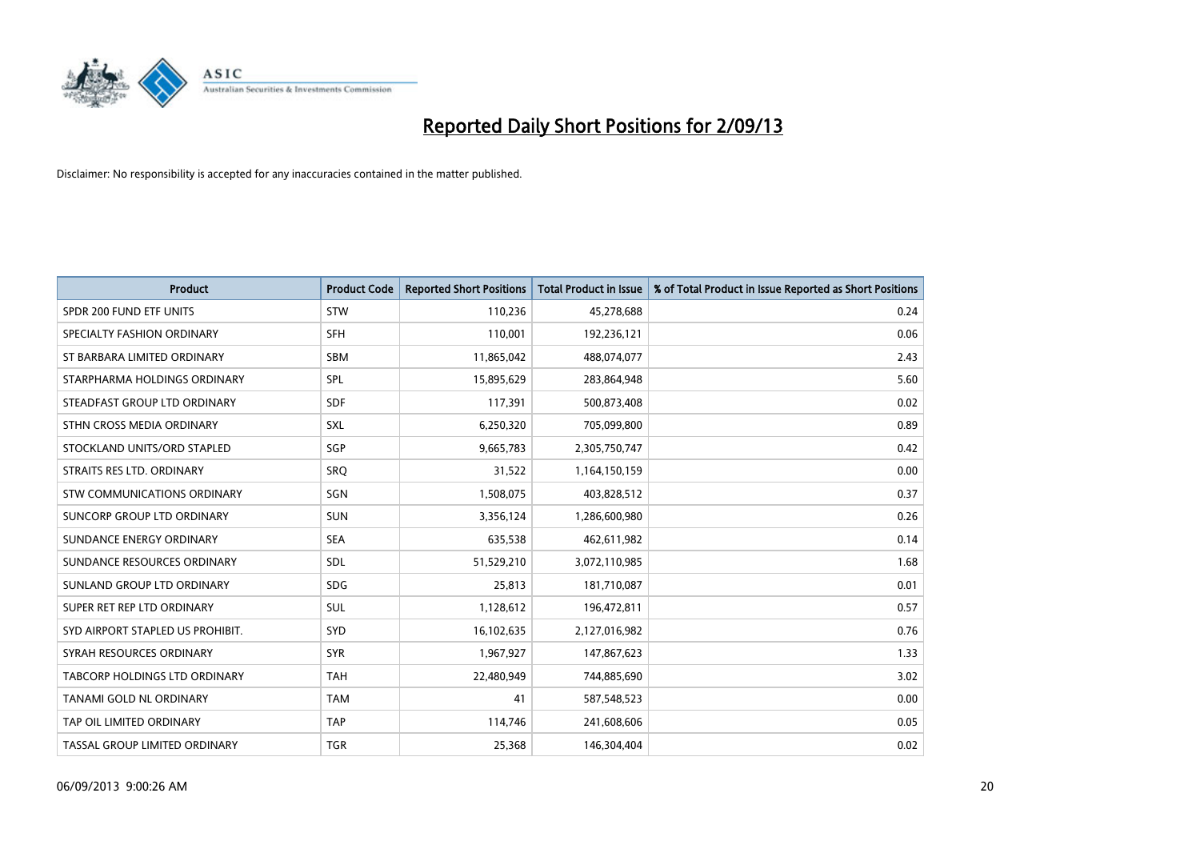

| <b>Product</b>                   | <b>Product Code</b> | <b>Reported Short Positions</b> | <b>Total Product in Issue</b> | % of Total Product in Issue Reported as Short Positions |
|----------------------------------|---------------------|---------------------------------|-------------------------------|---------------------------------------------------------|
| SPDR 200 FUND ETF UNITS          | <b>STW</b>          | 110,236                         | 45,278,688                    | 0.24                                                    |
| SPECIALTY FASHION ORDINARY       | <b>SFH</b>          | 110,001                         | 192,236,121                   | 0.06                                                    |
| ST BARBARA LIMITED ORDINARY      | <b>SBM</b>          | 11,865,042                      | 488,074,077                   | 2.43                                                    |
| STARPHARMA HOLDINGS ORDINARY     | <b>SPL</b>          | 15,895,629                      | 283,864,948                   | 5.60                                                    |
| STEADFAST GROUP LTD ORDINARY     | <b>SDF</b>          | 117,391                         | 500,873,408                   | 0.02                                                    |
| STHN CROSS MEDIA ORDINARY        | <b>SXL</b>          | 6,250,320                       | 705,099,800                   | 0.89                                                    |
| STOCKLAND UNITS/ORD STAPLED      | <b>SGP</b>          | 9,665,783                       | 2,305,750,747                 | 0.42                                                    |
| STRAITS RES LTD. ORDINARY        | SRO                 | 31,522                          | 1,164,150,159                 | 0.00                                                    |
| STW COMMUNICATIONS ORDINARY      | SGN                 | 1,508,075                       | 403,828,512                   | 0.37                                                    |
| SUNCORP GROUP LTD ORDINARY       | <b>SUN</b>          | 3,356,124                       | 1,286,600,980                 | 0.26                                                    |
| SUNDANCE ENERGY ORDINARY         | <b>SEA</b>          | 635,538                         | 462,611,982                   | 0.14                                                    |
| SUNDANCE RESOURCES ORDINARY      | <b>SDL</b>          | 51,529,210                      | 3,072,110,985                 | 1.68                                                    |
| SUNLAND GROUP LTD ORDINARY       | <b>SDG</b>          | 25,813                          | 181,710,087                   | 0.01                                                    |
| SUPER RET REP LTD ORDINARY       | SUL                 | 1,128,612                       | 196,472,811                   | 0.57                                                    |
| SYD AIRPORT STAPLED US PROHIBIT. | SYD                 | 16,102,635                      | 2,127,016,982                 | 0.76                                                    |
| SYRAH RESOURCES ORDINARY         | <b>SYR</b>          | 1,967,927                       | 147,867,623                   | 1.33                                                    |
| TABCORP HOLDINGS LTD ORDINARY    | <b>TAH</b>          | 22,480,949                      | 744,885,690                   | 3.02                                                    |
| TANAMI GOLD NL ORDINARY          | <b>TAM</b>          | 41                              | 587,548,523                   | 0.00                                                    |
| TAP OIL LIMITED ORDINARY         | <b>TAP</b>          | 114,746                         | 241,608,606                   | 0.05                                                    |
| TASSAL GROUP LIMITED ORDINARY    | <b>TGR</b>          | 25,368                          | 146,304,404                   | 0.02                                                    |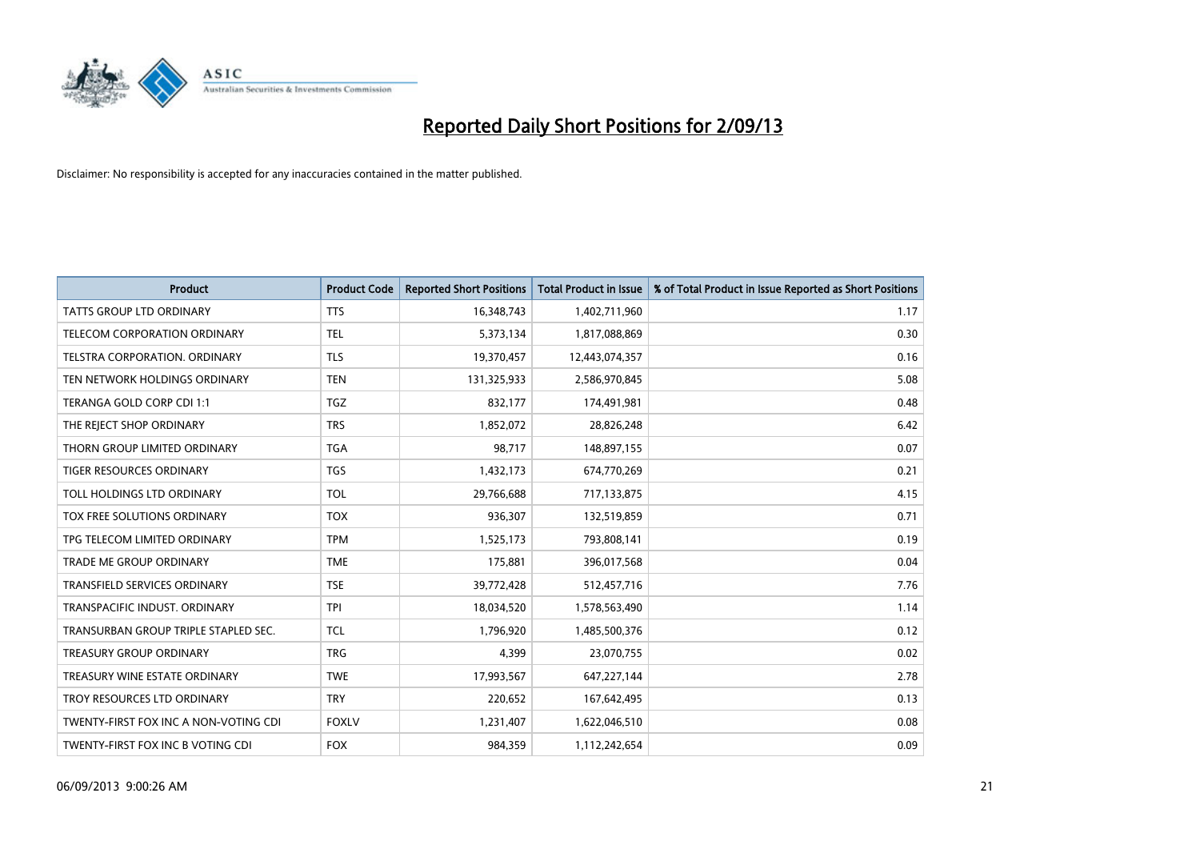

| <b>Product</b>                        | <b>Product Code</b> | <b>Reported Short Positions</b> | <b>Total Product in Issue</b> | % of Total Product in Issue Reported as Short Positions |
|---------------------------------------|---------------------|---------------------------------|-------------------------------|---------------------------------------------------------|
| <b>TATTS GROUP LTD ORDINARY</b>       | <b>TTS</b>          | 16,348,743                      | 1,402,711,960                 | 1.17                                                    |
| <b>TELECOM CORPORATION ORDINARY</b>   | <b>TEL</b>          | 5,373,134                       | 1,817,088,869                 | 0.30                                                    |
| <b>TELSTRA CORPORATION, ORDINARY</b>  | <b>TLS</b>          | 19,370,457                      | 12,443,074,357                | 0.16                                                    |
| TEN NETWORK HOLDINGS ORDINARY         | <b>TEN</b>          | 131,325,933                     | 2,586,970,845                 | 5.08                                                    |
| TERANGA GOLD CORP CDI 1:1             | TGZ                 | 832,177                         | 174,491,981                   | 0.48                                                    |
| THE REJECT SHOP ORDINARY              | <b>TRS</b>          | 1,852,072                       | 28,826,248                    | 6.42                                                    |
| THORN GROUP LIMITED ORDINARY          | <b>TGA</b>          | 98,717                          | 148,897,155                   | 0.07                                                    |
| TIGER RESOURCES ORDINARY              | <b>TGS</b>          | 1,432,173                       | 674,770,269                   | 0.21                                                    |
| TOLL HOLDINGS LTD ORDINARY            | <b>TOL</b>          | 29,766,688                      | 717,133,875                   | 4.15                                                    |
| TOX FREE SOLUTIONS ORDINARY           | <b>TOX</b>          | 936,307                         | 132,519,859                   | 0.71                                                    |
| TPG TELECOM LIMITED ORDINARY          | <b>TPM</b>          | 1,525,173                       | 793,808,141                   | 0.19                                                    |
| <b>TRADE ME GROUP ORDINARY</b>        | <b>TME</b>          | 175,881                         | 396,017,568                   | 0.04                                                    |
| TRANSFIELD SERVICES ORDINARY          | <b>TSE</b>          | 39,772,428                      | 512,457,716                   | 7.76                                                    |
| TRANSPACIFIC INDUST, ORDINARY         | <b>TPI</b>          | 18,034,520                      | 1,578,563,490                 | 1.14                                                    |
| TRANSURBAN GROUP TRIPLE STAPLED SEC.  | TCL                 | 1,796,920                       | 1,485,500,376                 | 0.12                                                    |
| TREASURY GROUP ORDINARY               | <b>TRG</b>          | 4,399                           | 23,070,755                    | 0.02                                                    |
| TREASURY WINE ESTATE ORDINARY         | <b>TWE</b>          | 17,993,567                      | 647,227,144                   | 2.78                                                    |
| TROY RESOURCES LTD ORDINARY           | <b>TRY</b>          | 220,652                         | 167,642,495                   | 0.13                                                    |
| TWENTY-FIRST FOX INC A NON-VOTING CDI | <b>FOXLV</b>        | 1,231,407                       | 1,622,046,510                 | 0.08                                                    |
| TWENTY-FIRST FOX INC B VOTING CDI     | <b>FOX</b>          | 984,359                         | 1,112,242,654                 | 0.09                                                    |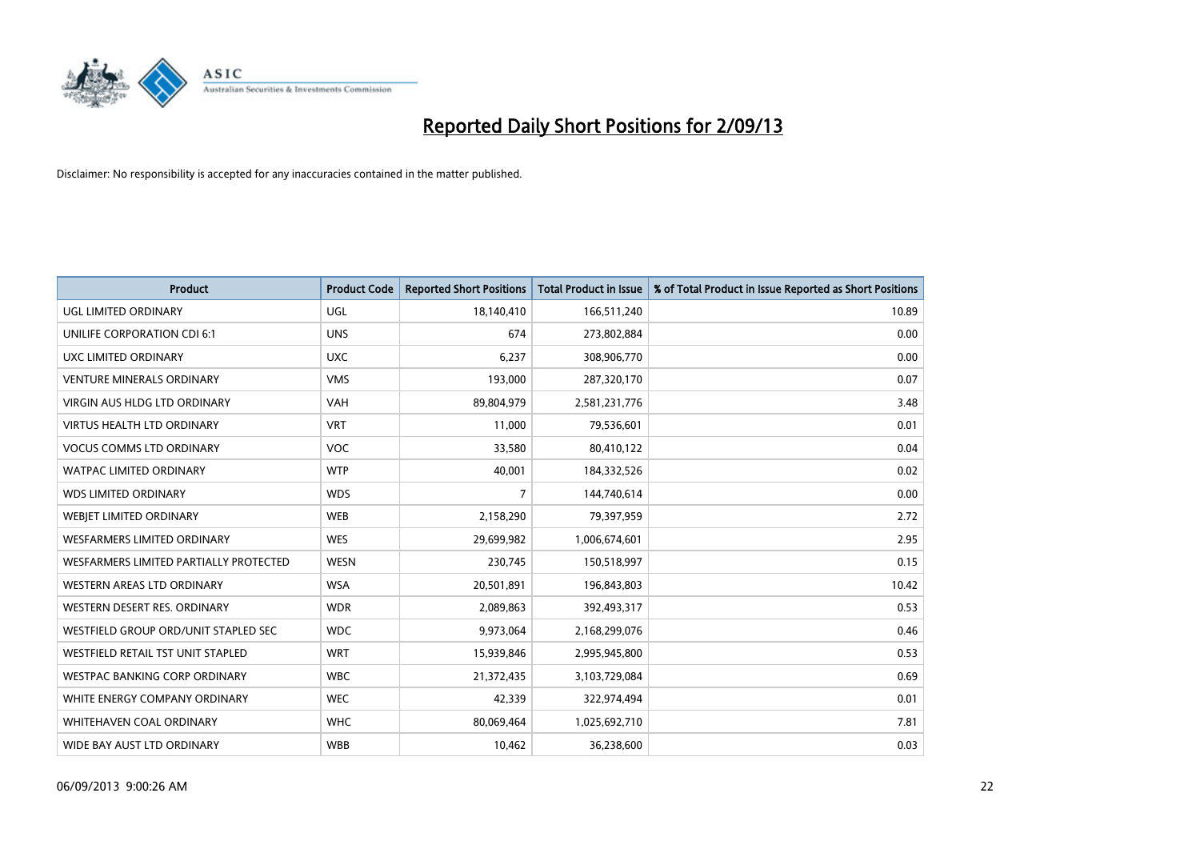

| <b>Product</b>                         | <b>Product Code</b> | <b>Reported Short Positions</b> | <b>Total Product in Issue</b> | % of Total Product in Issue Reported as Short Positions |
|----------------------------------------|---------------------|---------------------------------|-------------------------------|---------------------------------------------------------|
| <b>UGL LIMITED ORDINARY</b>            | UGL                 | 18,140,410                      | 166,511,240                   | 10.89                                                   |
| UNILIFE CORPORATION CDI 6:1            | <b>UNS</b>          | 674                             | 273,802,884                   | 0.00                                                    |
| UXC LIMITED ORDINARY                   | <b>UXC</b>          | 6,237                           | 308,906,770                   | 0.00                                                    |
| <b>VENTURE MINERALS ORDINARY</b>       | <b>VMS</b>          | 193,000                         | 287,320,170                   | 0.07                                                    |
| VIRGIN AUS HLDG LTD ORDINARY           | <b>VAH</b>          | 89,804,979                      | 2,581,231,776                 | 3.48                                                    |
| <b>VIRTUS HEALTH LTD ORDINARY</b>      | <b>VRT</b>          | 11,000                          | 79,536,601                    | 0.01                                                    |
| <b>VOCUS COMMS LTD ORDINARY</b>        | VOC                 | 33,580                          | 80,410,122                    | 0.04                                                    |
| WATPAC LIMITED ORDINARY                | <b>WTP</b>          | 40,001                          | 184,332,526                   | 0.02                                                    |
| <b>WDS LIMITED ORDINARY</b>            | <b>WDS</b>          | 7                               | 144,740,614                   | 0.00                                                    |
| <b>WEBJET LIMITED ORDINARY</b>         | <b>WEB</b>          | 2,158,290                       | 79,397,959                    | 2.72                                                    |
| WESFARMERS LIMITED ORDINARY            | <b>WES</b>          | 29,699,982                      | 1,006,674,601                 | 2.95                                                    |
| WESFARMERS LIMITED PARTIALLY PROTECTED | <b>WESN</b>         | 230,745                         | 150,518,997                   | 0.15                                                    |
| <b>WESTERN AREAS LTD ORDINARY</b>      | <b>WSA</b>          | 20,501,891                      | 196,843,803                   | 10.42                                                   |
| WESTERN DESERT RES. ORDINARY           | <b>WDR</b>          | 2,089,863                       | 392,493,317                   | 0.53                                                    |
| WESTFIELD GROUP ORD/UNIT STAPLED SEC   | <b>WDC</b>          | 9,973,064                       | 2,168,299,076                 | 0.46                                                    |
| WESTFIELD RETAIL TST UNIT STAPLED      | <b>WRT</b>          | 15,939,846                      | 2,995,945,800                 | 0.53                                                    |
| WESTPAC BANKING CORP ORDINARY          | <b>WBC</b>          | 21,372,435                      | 3,103,729,084                 | 0.69                                                    |
| WHITE ENERGY COMPANY ORDINARY          | <b>WEC</b>          | 42,339                          | 322,974,494                   | 0.01                                                    |
| WHITEHAVEN COAL ORDINARY               | <b>WHC</b>          | 80,069,464                      | 1,025,692,710                 | 7.81                                                    |
| WIDE BAY AUST LTD ORDINARY             | <b>WBB</b>          | 10,462                          | 36,238,600                    | 0.03                                                    |